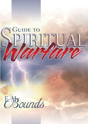# GUIDE TO <u>L J</u>

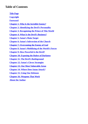#### **Table of Contents**

**Title Page Copyright [Foreword](#page-2-0) [Chapter](#page-5-0) 1: Who Is the Invisible Enemy? [Chapter](#page-6-0) 2: Identifying the Devil's Personality Chapter 3: [Recognizing](#page-7-0) the Prince of This World Chapter 4: What Is the Devil's [Business?](#page-12-0) [Chapter](#page-20-0) 5: Satan's Main Target Chapter 6: Satan's [Subversion](#page-23-0) of the Church Chapter 7: [Overcoming](#page-29-0) the Enemy of God Chapter 8. Satan's [Mobilizing](#page-35-0) of the World's Forces Chapter 9: How [Powerful](#page-41-0) Is the Devil? Chapter 10: Exposing the Rulers of [Darkness](#page-47-0) Chapter 11: The Devil's [Battleground](#page-51-0) Chapter 12: Satan's Clever [Strategies](#page-54-0) Chapter 13: Our Most [Vulnerable](#page-59-0) Areas [Chapter](#page-66-0) 14: Where Does Satan Attack? Chapter 15: Using Our [Defenses](#page-71-0) Chapter 16: [Weapons](#page-80-0) That Work About the [Author](#page-88-0)**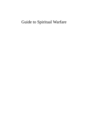# <span id="page-2-0"></span>Guide to Spiritual Warfare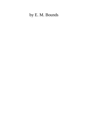# by E. M. Bounds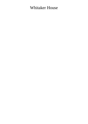## Whitaker House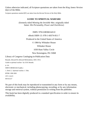<span id="page-5-0"></span>Unless otherwise indicated, all Scripture quotations are taken from the *King James Version* (kjv) of the Bible.

Scripture quotations marked (RV) are taken from the *Revised Version* of the Holy Bible.

## **GUIDE TO SPIRITUAL WARFARE**

#### (formerly titled *Winning the Invisible War*; originally titled *Satan: His Personality, Power and Overthrow*)

ISBN: 978-0-88368-643-0

eBook ISBN-13: 978-1-60374-811-7

Produced in the United States of America

© 1984 by Whitaker House

Whitaker House

## 1030 Hunt Valley Circle

#### New Kensington, PA 15068

## Library of Congress Cataloging-in-Publication Data

Bounds, Edward M. (Edward McKendree), 1835–1913.

Guide to spiritual warfare / by E.M. Bounds.

p. cm.

ISBN 0-88368-643-0 (pbk.)

1. Devil. 2. Spiritual warfare. I. Title.

BT981 .B58 2001

235'.4–dc21

00-012127

No part of this book may be reproduced or transmitted in any form or by any means, electronic or mechanical, including photocopying, recording, or by any information storage and retrieval system, without permission in writing from the publisher.

This book has been digitally produced in a standard specification in order to ensure its availability.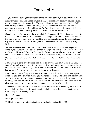## Foreword1\*

<span id="page-6-0"></span>I<sup>f</sup> you had lived during the early years of the twentieth century, you could have visited <sup>a</sup> small town and witnessed a most unusual sight. You could have seen Dr. Bounds walking the streets carrying his manuscripts. They would have been written on the backs of old, used envelopes and tied with twine string. He was looking for someone who would undertake to prepare them for publication. Dr. Bounds was continually asking his friends to pray that God would raise up a man who would put his writings into print.

Claudius Lysias Chilton, a scholarly friend of Dr. Bounds, said, "There is no man on earth today except the present editor who would have accepted this mass of matter and devoted the time to give it to the world—a world that will not begin to realize the magnitude and expanse of the work until editor, compiler, and reviewers have been in eternity many ages."

We take this occasion to offer our heartfelt thanks to the friends who have helped to compile, revise, rewrite, and edit the printed and unprinted works of Dr. Bounds. We thank the Reverend Robert O. Smith of Gainesville, Georgia, for introducing him to us in 1905 and insisting that we needed this apostolic man to teach us to pray and preach the Word.

I here submit a few brief statements from Dr. Bounds' letters to me just before he died. These show his views of Satan before he was taken out of the Enemy's reach forever.

I am trying to give myself more and more to prayer. Our only hope is in God. I do sympathize with you and pray for you and hold you in loving affection. Rejoice that you are well situated. God save you from your buffeting devil. The Devil is a great help heavenward. The worse agents he has the better we will get on.

Pray more and more; keep at the 4:00 a.m. hour. God will be for it, the Devil against it. Press on; you can't pray too much; you may pray too little. The Devil will compromise with you to pray as the common standard, on going to bed, and a little prayer in the morning. Hell will be full if we don't do better for God than that. Pray, pray, pray, pray always, rejoice evermore, pray without ceasing, in everything give thanks.

I hope that many souls will be edified and made holier and more devout by the reading of this book. I pray that God will receive additional glory when Bounds' complete works have been given to a needy world.

Homer W. Hodge

Brooklyn, New York

1\* This foreword is from the first edition of the book, published in 1922.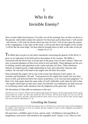# <span id="page-7-0"></span>Who Is the Invisible Enemy?

How art thou fallen from heaven, O Lucifer, son of the morning! how art thou cut down to the ground, which didst weaken the nations! For thou hast said in thine heart, I will ascend into heaven, I will exalt my throne above the stars of God: I will sit also upon the mount of the congregation, in the sides of the north: I will ascend above the heights of the clouds; I will be like the most High. Yet thou shalt be brought down to hell, to the sides of the pit. —Isaiah 14:12–15

 $T$ he Bible does not give us any direct statements concerning the genesis of the Devil. It gives us no indication of his birth and no description of his creation. The Bible is concerned with the Devil only as he has part in the great crises of man's history. There are only occasional glimpses of him in his work of ruin and death. These glimpses put his acts in striking contrast and opposition to the works and aims of Christ. These inferences indicate an original purity, a high relationship to God, and a heavenly character and conduct. He was and is the head of the angels who left their first estate.

Peter presented the angels' fall as one of the events that illustrate God's justice, its certainty and fearfulness. He said, *"God spared not the angels that sinned, but cast them down to hell, and delivered them into chains of darkness, to be reserved unto judgment"* (2 Peter 2:4). Jude spoke about the same order of God's inflexible wrath when he told us that *"the angels which kept not their first estate, but left their own habitation, he hath reserved in everlasting chains under darkness unto the judgment of the great day"* (Jude 6).

The Revelation of John adds its testimony to this fact:

And there was war in heaven: Michael and his angels fought against the dragon; and the dragon fought and his angels, and prevailed not; neither was their place found any more in heaven. And the great dragon was cast out, that old serpent, called the Devil, and Satan, which deceiveth the whole world: he was cast out into the earth, and his angels *were cast out with him.* (Revelation 12:7–9)

## Unveiling the Enemy

We can approach the Word of God with the assurance that we will find traces of the Devil's steps and the unfolding of his conduct. God's Word tells us of his evil schemes that have eclipsed so much of earth's brightness and spoiled so much of its promise and hope.

We must have a childlike spirit of trust, and lay aside *"all filthiness and superfluity of naughtiness, and receive with meekness the engrafted word"* (James 1:21). Then we will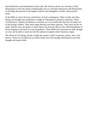find satisfaction and illumination of the truth. We will not satisfy our curiosity or find illumination in the fine points of philosophy, but we will find satisfaction and illumination in all things that pertain to the highest truth for the thoughtful, trustful, and prayerful mind.

In the Bible we have the facts and history of man's redemption. Other worlds and other beings are brought into prominence in light of redemption's purposes and plans. These revealed facts, whether incidental or essential, are to our faith what the facts of nature are to the biology student. They must shape theories and settle opinions. They must not be set aside. Reason must not ignore or reject them, but must lay them as the solid foundations of all investigation, the basis of every hypothesis. These Bible facts demand our faith, though we may not be able to reach out into the unknown regions where harmony reigns.

The Word of God brings clearly to light the unseen world: its persons, places, facts, and history. These are revealed not in minute detail, but with enough information to provoke thought and inspire faith.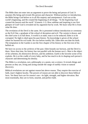The Bible does not enter into an argument to prove the being and person of God. It assumes His being and reveals His person and character. Without preface or introduction, the Bible brings God before us in all His majesty and omnipotence. God was at the world's beginning, and He created the beginning of all things. *"In the beginning God created the heaven and the earth"* (Genesis 1:1). How sublime and inspiring is our first glimpse of God! God is revealed not by argument but by work. We learn what He is from what He does.

The revelation of the Devil is the same. He is presented without introduction or ceremony as the Evil One, a graduate of the school of deception and evil. The curtain is drawn, and the chief actor is in full dress. A world is at stake; man is to be seduced; Eden is to be corrupted. No light is shed upon his past history. No knowledge is given of the school where he learned his evil trade. He was before earthly life. Eden does not date his birth. The temptation in the Garden is not the first chapter of his history or the first test of his hellish art.

We have no access to the archives of the past. Eden bounds our horizon, and the Devil is there. Since that time, his history has run parallel with the human race's. Man is the object of his schemes, his destructive devices, and his ambition. Earth is the favorite scene of his exploits. He is at the cradle of every baby, and he has much to do in shaping each person's character and determining his destiny.

The Bible is a revelation, not a philosophy or a poem, not a science. It reveals things and persons as they are, living and acting outside the range of earthly vision or natural discovery.

Biblical revelations are not against reason but above reason. They require the exercise of faith, man's highest faculty. The powers of reason are not able to discover these biblical facts. Yet these facts are for reason's use—its light, strength, and higher elevation. But most essentially, they are to form, nourish, and perfect faith.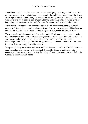The Bible reveals the Devil as a person—not a mere figure, not simply an influence. He is not only a personification, but also a real person. In the eighth chapter of John, Christ was accusing the Jews for their cruelty, falsehood, deceit, and hypocrisy. Jesus said, *"Ye are of your father the devil, and the lusts of your father ye will do. He was a murderer from the beginning, and abode not in the truth, because there is no truth in him"* (John 8:44).

Many myths have gathered around the person of the Devil throughout the ages. Much poetry, tradition, and even our fears have caricatured his person, exaggerated his character, and colored his conduct. But there is truth in regard to him, naked and simple truth.

There is much truth that needs to be learned about the Devil, and no age needs the plain, unvarnished truth about him more than this generation. We need the light of that truth as a warning, as an incentive to vigilance, and as an inspiration to effort. We need the knowledge about the Enemy—his character, presence, and power—in order to rouse men to action. This knowledge is vital to victory.

Many people deny the existence of Satan and his influence in our lives. Would Christ have used such plain and solemn words repeatedly before His disciples and the Jews to encourage a lying superstition? To deny the reality of demon possession as recorded in the Gospels is simply inconceivable.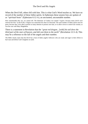When the Devil fell, others fell with him. This is what God's Word teaches us. We have no record of the number of these fallen spirits. In Ephesians these unseen foes are spoken of as *"spiritual hosts"* (Ephesians 6:12 rv), an uncounted, uncountable number.

How innumerable they are, we cannot tell. The demoniac of Gadara was named *"Legion: because many devils were entered into him"* (Luke 8:30). A legion was somewhat less than six thousand. The total number of fallen spirits must be great, because they were able to permit so many demons to possess one man, or to allow seven to control one woman, as was the case with Mary Magdalene.

There is a statement in Revelation that the *"great red dragon…*[with] *his tail drew the third part of the stars of heaven, and did cast them to the earth"* (Revelation 12:3–4). This may be a reference to the fall of the angels and their number.

The Bible clearly states that the Devil has a host of fallen angelic followers who are ready and eager in their efforts to hurt man and defeat God's kingdom on earth.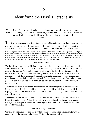## <span id="page-12-0"></span>Identifying the Devil's Personality

Ye are of your father the devil, and the lusts of your father ye will do. He was a murderer from the beginning, and abode not in the truth, because there is no truth in him. When he speaketh a lie, he speaketh of his own: for he is a liar, and the father of it. —John 8:44

 $T$ he Devil is a personality with definite character. Character can give dignity and value to a person, or character can degrade a person. Character is the inner life of a person that forms action and shapes life. Character is a fountain—the head and stream of conduct.

However, a person's character is often opposed to his reputation. Character is what we are. Reputation is what people think we are. The real and the "think so" are often two different worlds. It would be marvelous if reputation were based on character, if the real and the reputed were one. A bad reputation can be coupled with good character. Conversely, a good reputation can cover up bad character. But the Devil has this characteristic about him: his reputation is based on his character. They are one. The Devil's reputation is bad, because his character is worse.

## The Nature of the Devil

The Devil is a created being. He is therefore not self-existent or eternal, but limited and finite. There was a time when he was not, when he began to be. His creation was after the order of the angels. The angels are not the offspring of the family relationship. All the tender emotions, training, sweetness, and growth of infancy are unknown to them. The pains and joys of childbirth are not theirs. Each angel is created, not born. Each is created directly and personally by God. As an angel, the Devil was created good—doubtless, very good. His purity as well as exaltation were sources of congratulation, wonderment, and praise in heaven.

The Devil is a positive character. That is to say, he wears disguises, but his objectives lie in only one direction. He is double faced but never double minded, never undecided, vague, or feeble in his purposes or ends. No irresolution, hesitancy, or aimless action ever spring from him.

The Devil has character if not horns, because character is often harder and sharper than horns. Character is felt. We feel the Devil. He orders and controls things. He is a great manager. He manages bad men and fallen angels. The Devil is an indirect, sinister, low, and worldly manager.

The Personality of the Devil

Christ is a person, and He puts the Devil in contrast to Himself as a great, mighty, wicked person who is the sower of all evil—as Christ is the sower of all good.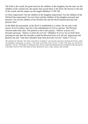The field is the world; the good seed are the children of the kingdom; but the tares are the children of the wicked one; the enemy that sowed them is the devil; the harvest is the end of the world; and the reapers are the angels.(Matthew 13:38–39)

Is Christ impersonal? Are the children of the kingdom impersonal? Are the children of the Wicked One impersonal? Are not Christ and the children of the kingdom personal and persons? Are not the children of the Wicked One and the Devil himself personal and persons also?

In the Bible the personality of the Devil is established as a reality. He not only is the source of evil to others, but also is the embodiment of evil in a person. The Revised Version makes this clear. The petition in the Lord's prayer, *"Deliver us from evil,"* becomes personal, *"Deliver us from the evil one"* (Matthew 6:13 rv). So we find Christ praying not only that His disciples would be delivered from evil, all evil, impersonal and general, but also *"that thou shouldest keep them from the evil one"* (John 17:15 rv).

The statement by John that *"the whole world lieth in wickedness"* also becomes personal in the Revised Version, where all wickedness concentrates in a person: *"The whole world lieth in the evil one"* (1 John 5:19). Here, too, the Devil is called the *"evil one."* Personality is attributed to him. We saw earlier that fatherhood also is attributed to him, because he is the father of all evil. He is the enemy of Jesus, destructive, active, crafty, cautious, and cowardly.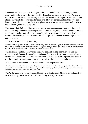The Devil and his angels are of a higher order than the fallen sons of Adam, by rank, order, and intelligence. In the Bible the Devil is called a prince, a world ruler, *"prince of this world"* (John 12:31). He is designated as *"the devil and his angels"* (Matthew 25:41). He and they are held accountable for their sins. They are condemned for their revolt in leaving their *"first estate"* (Jude 6), the sphere for which they were created and in which they were originally placed by God.

This fact of their fall, and all the other scriptural statements concerning them, direct and incidental, emphasize that they are persons—living, acting, free, and accountable. That the fallen angels had a chief prince who organized all their movements, who was first in wisdom, leadership, and skill, is clear from all scriptural statements concerning the Devil and his angels.

In 2 Corinthians 11:13–15, Paul said,

For such are false apostles, deceitful workers, transforming themselves into the apostles of Christ. And no marvel; for Satan himself is transformed into an angel of light. Therefore it is no great thing if his ministers also be transformed as *the ministers of righteousness; whose end shall be according to their works.*

The statement *"Satan himself"* is an emphatic declaration of personality. He also has ministers. An influence does not have ministers. Paul was writing about persons who are fraudulent and alluring. He introduced this great leader as the Arch-imposter, the inspirer of all the fraud, hypocrisy, and error of his apostles, who are as false as he is.

In Jude there is a statement that brings into view many personalities:

Likewise also these filthy dreamers defile the flesh, despise dominion, and speak evil of dignities. Yet Michael the archangel, when contending with the devil he disputed about the body of Moses, durst not bring against him a railing *accusation, but said, The Lord rebuke thee.*(Jude 8–9)

The *"filthy dreamers"* were persons. Moses was a great person. Michael, an archangel, is an actual being. What is the Devil, if not a living, active personality?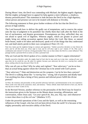## A High Dignitary

During Moses' time, the Devil was contending with Michael, the highest angelic dignitary. Did the mighty archangel have to appeal for help against a mere influence, a shadowy, dreamy personification? This statement in Jude declares the Devil to be a high dignitary, whose person and presence are not to be treated with dishonor or frivolity.

The following statement in Peter gives further evidence of the fact that the Devil is a person of high nobility.

The Lord knoweth how to deliver the godly out of temptations, and to reserve the unjust unto the day of judgment to be punished: but chiefly them that walk after the flesh in the lust of uncleanness, and despise government. Presumptuous are they, selfwilled, they are not afraid to speak evil of dignities. Whereas angels, which are greater in power and might, bring not railing accusation against them before the Lord. But these, as natural brute beasts, made to be taken and destroyed, speak evil of the things that they understand not; and shall utterly perish in their own corruption.(2 Peter 2:9–12)

Note how James put the mightiest beings in contrast and opposition: *"Submit yourselves therefore to God. Resist the* devil, and he will flee from you. Draw nigh to God, and he will draw nigh to you" (James 4:7-8). Why such a combination and contrast? Is God not a living personality? How can we then reduce the Devil to a mere influence? This passage teaches a personal Devil as surely as it does a personal God.

Why are God and the Devil spoken of in a similar manner in Peter's urgent exhortation?

Humble yourselves therefore under the mighty hand of God, that he may exalt you in due time: casting all your care upon him; for he careth for you. Be sober, be vigilant; because your adversary the devil, as a roaring lion, walketh *about, seeking whom he may devour.*(1 Peter 5:6–8)

Why cast all care on Him? Why be sober and vigilant? *"Your adversary"* can be no less than an actual being against whom the Christian has to be armed with God's power.

*"Your adversary"*! Hate and destruction are his weapons. Can he be less than a person? The Devil is walking about like *"a roaring lion,"* strong, full of passions and deadly hate! Can anything less than a being of fiery passion and infernal power fulfill this divine portrait?

To Peter, the existence and personality of this powerful adversary had had a sad demonstration in his own experience. These words were still on his conscience, heart, and memory: *"Simon, behold, Satan hath desired to have you, that he may sift you as wheat"* (Luke 22:31).

In the Revised Version, another reference to the personality of the Devil may be found in the instructions given in the Sermon on the Mount about swearing, affirmations, and conversation, where Jesus said, *"Let your speech be, Yea, yea; Nay, nay: and whatsoever is more than these is of the evil one"* (Matthew 5:37).

Under the powerful operations of the Cross and the Spirit, as well as the restraining influences of the Gospel, why has evil not been driven from the earth? It is because of the mighty personality and executive ability of the Devil.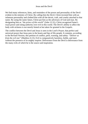We find many references, hints, and reminders of the power and personality of the Devil evident in the ministry of Christ. By calling him the *Devil,* Christ invested him with an infamous personality and clothed him with all the deceit, craft, and cruelty attached to that name. By using the name *Satan,* Christ put him as the adversary of God and man. By designating him as *"the prince of this world"* (John 12:31), Christ recognized Satan's royal power and ruling authority over evil in this world. The Devil's ability to affect the body with sickness is not merely hinted at but taken for granted in the Gospels.

The conflict between the Devil and Jesus is seen in the Lord's Prayer, that perfect and universal prayer that Jesus puts in the hearts and lips of His people. It contains, according to the Revised Version, this petition of conflict, peril, warning, and safety: *"Deliver us from the evil one"* (Matthew 6:13). Evil is comparatively harmless, feeble, and inert without the presence of its mighty inspirer. Deliverance from the Devil is deliverance from the many evils of which he is the source and inspiration.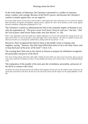In the sixth chapter of Ephesians, the Christian is presented as a soldier in character, armor, conduct, and courage. Because of the Devil's power, and because the Christian's warfare is mainly against him, we are urged to:

Put on the whole armour of God, that ye may be able to stand against the wiles of the devil. For we wrestle not against flesh and blood, but against principalities, against powers, against the rulers of the darkness of this world, against *spiritual wickedness in high places.*(Ephesians 6:11–12)

The Christian's comfort as administered by Paul in the sixteenth chapter of Romans is not only the impartation of, *"The grace of our Lord Jesus Christ be with you,"* but also, *"And the God of peace shall bruise Satan under your feet shortly"* (v. 20).

Peter's vital exhortation in his first epistle has a double imperative in it: he not only exhorted the casting of all our care upon God (1 Peter 5:7), but he also gave a loud and urgent call to watch and pray: *"Be sober, be vigilant; because your adversary the devil, as a roaring lion, walketh about, seeking whom he may devour"* (v. 8.)

Moreover, Peter recognized the hand of Satan in the deadly crime of Ananias and Sapphira, saying, *"Ananias, why hath Satan filled thine heart to lie to the Holy Ghost, and to keep back part of the price of the land?"* (Acts 5:3).

The warning that Christ sent to the church at Smyrna to prepare for tribulation recognized the personality and power of the Devil.

Fear none of those things which thou shalt suffer: behold, the devil shall cast some of you into prison, that ye may be tried; and ye shall have tribulation ten days: be thou faithful unto death, and I will give thee a crown of life. (Revelation 2:10)

The explanation of the parable of the tares puts the wickedness, personality, and power of the Devil in contrast with Christ.

The field is the world; the good seed are the children of the kingdom; but the tares are the children of the wicked one; the enemy that sowed them is the devil; the harvest is the end of the world; and the reapers are the angels.(Matthew 13:38– 39)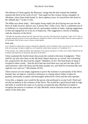## The Devil's Evil Work

The defense of Christ against the Pharisees' charge that He had violated the Sabbath exposes the Devil in his work of evil: *"And ought not this woman, being a daughter of Abraham, whom Satan hath bound, lo, these eighteen years, be loosed from this bond on the sabbath day?"* (Luke 13:16).

The Bible says about Judas, *"And supper being ended, the devil having now put into the heart of Judas Iscariot, Simon's son, to betray him"* (John 13:2). This is a statement not of an influence or a personification, but of a personality outside of Judas, making suggestions to him and urging him on to his act of hypocrisy. This suggestion is strictly in keeping with the character of the Devil.

"And after the sop Satan entered into him, Then said Jesus unto him, That thou doest, do quickly" (John 13:27). This act is greatly advanced in power of action and influence compared to Satan's work in the Garden! There he used a serpent as his instrument. Here he uses a man, a chosen, trusted apostle.

#### Paul said,

Lest I should be exalted above measure through the abundance of the revelations, there was given to me a thorn in the *flesh, the messenger of Satan to buffet me, lest I should be exalted above measure.* (2 Corinthians 12:7)

In this instance, the exalted revelation and experience of the person and power of Christ were closely followed by the revelation and experience of the person and power of the Devil.

Christ explained the fearful doom that awaits the wicked at the time of judgment: *"Then shall he say also unto them on the left hand, Depart from me, ye cursed, into everlasting fire, prepared for the devil and his angels"* (Matthew 25:41). The final doom of Satan is revealed in these words, *"And the devil that deceived them was cast into the lake of fire and brimstone, where the beast and the false prophet are, and shall be tormented day and night for ever and ever"* (Revelation 20:10).

These extracts are not simply arguments to prove the existence or personality of the Devil. Instead, they are logical, conclusive references to a being whose reality is taken for granted, universally accepted, and thoroughly believed by Christ and the early apostles.

Given this, a singular case would be the person who professed to accept God's Word and yet did not believe in the existence of the Devil. This would be a great breach both in logic and faith. It would be the same as if a person accepted the play *Macbeth* yet failed to recognize the person or existence of Lady Macbeth, whose character forms the plan and nature of the entire plot.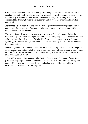Christ's encounters with those who were possessed by devils, or demons, illustrate His constant recognition of these fallen spirits as personal beings. He recognized their distinct individuality. He talked to them and commanded them as persons. They knew Christ, confessed His divinity, bowed to His authority, and obeyed, however unwillingly, His commands.

Jesus made a clear distinction between the human personality who was possessed by a demon, and the personality of the demon who held possession of the person. In His eyes, they were two distinct persons.

The exercising of this distinction gave a severe blow to Satan's kingdom. When the seventy disciples returned and reported about their mission, they said, *"Even the devils are subject unto us through thy name"* (Luke 10:17). Jesus exclaimed, *"I beheld Satan as lightning fall from heaven"* (v. 18), and then, amid their ecstasy and His joy, He renewed their commission:

Behold, I give unto you power to tread on serpents and scorpions, and over all the power of the enemy: and nothing shall by any means hurt you. Notwithstanding in this rejoice not, that the spirits are subject unto you; but rather rejoice, because your names are written in heaven.(Luke 10:19–20)

*"Over all the power of the enemy."* The Devil is the enemy of Christ and of man. Jesus gave His disciples power over all the Devil's power. To Christ the Devil was a very real person. He recognized his personality, felt and acknowledged his power, abhorred his character, and warred against his kingdom.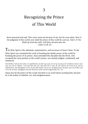# <span id="page-20-0"></span>Recognizing the Prince of This World

Jesus answered and said, This voice came not because of me, but for your sakes. Now is the judgment of this world: now shall the prince of this world be cast out. And I, if I be lifted up from the earth, will draw all men unto me. —John 12:30–32

 $T$ he Holy Spirit is the substitute, representative, and successor of Jesus Christ. To the

Holy Spirit was committed the work of breaking the deadly power of the world by breaking the power of its prince. Jesus reminded His disciples that the Devil, who occupied the royal position as the world's prince, was already judged, condemned, and sentenced.

Nevertheless I tell you the truth; it is expedient for you that I go away: for if I go not away, the Comforter will not come unto you; but if I depart, I will send him unto you. And when he is come, he will reprove the world of sin, and of righteousness, and of judgment: of sin, because they believe not on me; of righteousness, because I go to my Father, and *ye see me no more; of judgment, because the prince of this world is judged.*(John 16:7–11)

Satan may be the prince of this world, but there is an awful doom awaiting him, because he is the author of unbelief, sin, and unrighteousness.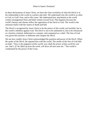In these declarations of Jesus Christ, we have the clear revelation of what the Devil is in his relationship to the world as a prince and ruler. We understand why the world is so alien to God, to God's Son, and to His cause. We understand how attachment to the world creates estrangement from and bitter enmity toward God. This happens because the world's beauty and charms reflect the opposition of the Devil to God. The world is the sensuous harlot with her snares of death and hell.

The Devil is recognized by Jesus Christ to be the prince of this world, not lawfully, but in the world's rebellion against God. The Devil is not to be submitted to, but to be renounced as a lawless criminal, dethroned as a usurper, and conquered as a rebel. The Son of God was given this mission: to dethrone and conquer the Devil.

We see how readily Jesus Christ acknowledged the position and power of the Devil. When He spoke of the Devil, He equated him with the world. The stroke of the Son of God falls on both: *"Now is the judgment of this world: now shall the prince of this world be cast out. And I, if I be lifted up from the earth, will draw all men unto me."* The world is condemned by the power of the Cross.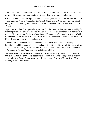The sweet, attractive powers of the Cross dissolve the fatal fascinations of the world. The powers of that same Cross cast out the prince of this world from his ruling throne.

Christ affirmed the Devil's high position, but also signed and sealed his destiny and doom. *"God anointed Jesus of Nazareth with the Holy Ghost and with power: who went about doing good, and healing all that were oppressed of the devil; for God was with him"* (Acts 10:38).

Again the Son of God recognized the position that the Devil held as prince crowned by the world's powers. His presence quieted the Son of God. Man's words are not to be victors in this conflict. Jesus used God's words during the Temptation. (See Matthew 4:1–11.) With these He broke the power of Satan's assault and defeated his evil intentions. But Jesus left him still a sovereign with his kingly crown.

The Son of God remained silent at the Devil's approach. The Cross and its deep humiliation and bitter agony, its defeat and despair—it took all these to lift the crown from Satan's brow and bring his throne down to dust and ashes. The adorable Son of God saw *"the travail of his soul"* and was satisfied (Isaiah 53:11).

Jesus saw what it would cost Him and what it would cost every son of heaven to discrown that prince. Because of this, He lapsed into a solemn silence, the prestige of His victory. *"Hereafter I will not talk much with you: for the prince of this world cometh, and hath nothing in me"* (John 14:30).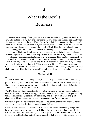# <span id="page-23-0"></span>What Is the Devil's Business?

Then was Jesus led up of the Spirit into the wilderness to be tempted of the devil. And when he had fasted forty days and forty nights, he was afterward an hungered. And when the tempter came to him, he said, If thou be the Son of God, command that these stones be made bread. But he answered and said, It is written, Man shall not live by bread alone, but by every word that proceedeth out of the mouth of God. Then the devil taketh him up into the holy city, and setteth him on a pinnacle of the temple, and saith unto him, If thou be the Son of God, cast thyself down: for it is written, He shall give his angels charge concerning thee: and in their hands they shall bear thee up, lest at any time thou dash thy foot against a stone. Jesus said unto him, It is written again, Thou shalt not tempt the Lord thy God. Again, the devil taketh him up into an exceeding high mountain, and showeth him all the kingdoms of the world, and the glory of them; and saith unto him, All these things will I give thee, if thou wilt fall down and worship me. Then saith Jesus unto him, Get thee hence, Satan: for it is written, Thou shalt worship the Lord thy God, and him only shalt thou serve. Then the devil leaveth him, and, behold, angels came and ministered unto him.

 $-M$ atthew  $4:1-11$ 

I<sup>f</sup> there is any virtue in believing in God, the Devil may claim this virtue. If there is any praise for always being busy, the Devil may claim this praise, for he is always very busy. But his character does not spring from his faith. His faith makes him tremble (see James 2:19); his character makes him a devil.

The Devil is a very busy character. He does a big business, a very ugly business, but he does it well, that is, as well as an ugly business can be done. He has lots of experience, big brains, a black heart, great force, tireless energy, and is of great influence and great character. All his immense resources and powers are used for evil purposes.

Only evil inspires his activities and energies. He never moves to relieve or bless. He is a stranger to benevolent deeds and compassionate feeling.

Satan's history antedates the history of man. He and his angels are the only beings who have experienced heaven, earth, and hell. These three places are familiar to him. He has walked the streets of heaven side by side with its purest and best. He has felt the thrill of its purest joys. He also knows the bitterest anguish of hell and has felt its keenest flames.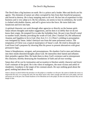The Devil does a big business on earth. He is a prince and a leader. Men and devils are his agents. The elements of nature are often corrupted by him from their beneficial purposes and forced to destroy. He is busy tempting men to do evil. He has lots of experience in this business and is very adept at it. By his schemes, sin seems to lose its sinfulness, the world is clothed with double charms, and self is given twice the force. He turns faith into fanaticism and love into hate.

A spiritual character can work through other agencies or directly on the human spirit. Satan infuses thoughts and makes suggestions, and he does it so deftly that we do not know their origin. He tempted Eve to take the forbidden fruit. He put it into David's mind to number Israel, thereby provoking the wrath of God. (See 2 Samuel 24.) He influenced Ananias and Sapphira to lie to God. (See Acts 5:1–11.) Peter's yielding to presumption was instigated by Satan. Judas's betrayal was from the same poisonous source. The temptation of Christ was a typical masterpiece of Satan's craft. He tried to dissuade our Lord from God's purposes by showing Him his power to present alternatives with great persuasive logic.

Satan is blasphemous, arrogant, and presumptuous. He slanders God to men and infuses into their minds distorted thoughts about God. He intensifies their hatred and inflames their prejudice against Him. He leads them to deny God's existence and to misrepresent His character, thereby destroying the foundations of faith and all true worship.

Satan does all he can by insinuation and accusation to blacken saintly character and lower God's estimate of the good. He is the vilest of maligners, the most vicious and artful of slanderers. Goodness is the target of his constant attack. He says nothing good about the good, nothing bad about the bad.

Satan is always at church before the preacher is in the pulpit or a member is in the pew. He comes to hinder the sower, to impoverish the soil, or to corrupt the seed. He uses these tactics only when courage and faith are in the pulpit, and zeal and prayer are in the pew; but if dead ritualism or live liberalism are in the pulpit, he does not attend, because they are no danger to him.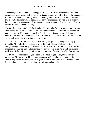The Devil goes about to do evil and oppress men. Christ expressly declared that some sickness, at least, was directly inflicted by Satan. At every point the Devil is the antagonist of Him who *"went about doing good, and healing all that were oppressed of the devil"* (Acts 10:38). In some way he acquired the power of death and created in men a fearful bondage to it. Through death, Christ works to *"destroy him that had the power of death, that is, the devil"* (Hebrews 2:14).

The Devil put a thorn in Paul's flesh and made a special effort to acquire Peter's loyalty. He directed the whirlwind, kindled the fire, and ordered the disease that devastated Job and his property. He armed the thieving Chaldeans and Sabines against Job, and got control of his wife. He directed the various offices of his empire to ruin this one saint. He will wreck an empire at any time to secure a soul.

Satan sows the tares in the wheat, the bad among the good, bad thoughts among good thoughts. All kinds of evil seed are sown by him in the harvest fields of earth. He is always trying to make the good bad and the bad worse. He filled the mind of Judas, and he inflamed and hurried him on to his infamous purpose. He filled Peter with an arrogant pride that tried to inject human views into the purpose of Christ instead of God's purpose.

The Devil goes about as fierce, as resolute, and as strong as a lion, intent only on destroying. He is restrained by no sentiments that soften and move human or divine hearts. He has no pity and no sympathy. He is great, but he is only great in evil. He has a great intellect, but he is driven and inspired by a vicious and cruel heart.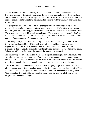At the threshold of Christ's ministry, He was met with temptation by the Devil. The historical account of the situation presents the Devil as a spiritual person. He is the head and embodiment of all evil, making a fierce and protracted assault on the Son of God. We are not informed as to what form he assumed in order to veil the treachery and wickedness of his attack.

The temptation of Christ is noted as one of the preliminary and pivotal facts of His ministry. It cannot be considered a vision any more than can His baptism, the descent of the Spirit, His wilderness trip, or His fasting. It was not an "influence" that tempted Christ. The whole transaction forbids such a conclusion. *"Then was Jesus led up of the Spirit into the wilderness to be tempted of the devil."* The Devil came to Him, and the Devil left Him, and then *"angels came and ministered unto him."*

In this temptation, the methods, hypocrisy, and craft of the Devil may be seen. He comes to the weak, exhausted Son of God with an air of concern. How innocent is Satan's suggestion that Jesus use His power to relieve His hunger! What could be more permissible than to use His spiritual power for physical purposes? How often is this done? Whenever faith is used to serve the natural, the source is always evil.

It is man living for bread alone that makes the temporal become priority. The secular and worldly take on supreme importance. Faith becomes secondary—subservient to money and business. The heavenly is used for the earthly, the spiritual for the natural. We become more intent on daily food than on daily grace, eyeing the seen more than the unseen.

That is the Devil's main business—to materialize religion, to get man to live for bread alone, to make earth bigger than heaven, to make time more intriguing than eternity. What a fearful conflict is being carried on in that quiet wilderness between the fainting Son of God and Satan! It is a struggle between the earthly and the heavenly, between God's religion and the Devil's religion.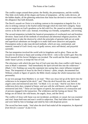The conflict surges around three points: the fleshly, the presumptuous, and the worldly. This little circle holds all the shapes and forms of temptation—all the crafty devices, all the hidden depths, all the glittering seductions that Satan has devised to swerve men from the allegiance that faith demands.

The Devil's assault on Christ is in striking contrast to his temptation to beguile Eve. It is also in striking contrast to the fearful ordeal through which he tried Job's integrity. Satan cast no suspicion on God's goodness as he did with Eve. He caused no terrific, consuming sorrow as he did in Job's case. Instead, everything was friendly, sympathetic, and inviting.

The second temptation included the fanatical presumption of overheated zeal and brainless devotion. Satan used all the methods of sensational and abnormal religious practices. He tempted Jesus to take the shortcut by which the principles of genuine faith are set aside and superficial substitutes are brought in to make faith more attractive and popular. Presumption seeks to take man-devised methods, which are easy, sentimental, and material, instead of God's lowly way of godly sorrow, strict self-denial, and prayerful surrender.

The last temptation involved the world with its kingdoms and its glory. These are the rewards for devotion to Satan and worship of the Devil—who is the world's god. How the Devil massed all his forces! Religion was invoked. The world and the flesh conspired, under Satan's power, to tempt the Son of God.

The reluctance with which the pure Son of God went into this close conflict with Satan is seen in Mark's statement: *"And immediately the Spirit driveth him into the wilderness"* (Mark 1:12). Nothing can warp this statement into saying that a mere influence tempted Jesus. The temptation of Jesus by the Devil is history—plain, simple, documented fact. Without a doubt or figure of speech, the Bible clearly stamps the whole transaction with personality.

In our text passage from Matthew 4, we read: *"Then was Jesus led up of the Spirit into the wilderness to be tempted of the devil,"* and *"Then the devil leaveth him, and, behold, angels came and ministered unto him."* In Mark 1:13, we read, *"And he was there in the wilderness forty days, tempted of Satan; and was with the wild beasts; and the angels ministered unto him."* These are not figures of speech, but narratives of a transaction and of persons engaged in the transaction. The wilderness and the fasting are literal. The beings are all literal: the wild beasts, the angels, Jesus, and the Devil.

The conflict of Jesus with Satan was not incidental, accidental, or casual, but was essential and vital. Satan held man and man's world in subjection. They had fallen into his hands and were held by him in bondage and ruled by him with desperate power.

The record has been made, *"And when the devil had ended all the temptation, he departed from him for a season"* (Luke 4:13).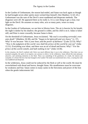In the Garden of Gethsemane, the season had ended, and Satan was back again as though he had brought seven other spirits more wicked than himself. (See Matthew 12:43–45.) Gethsemane was the sum of the Devil's most maddened and desperate methods. The disguises were off. He appeared there as he really is. It is a rare thing to get a clear, true light on the Devil. He assumes so many roles, acts so many parts, wears so many disguises.

In the Garden of Gethsemane, we see him in lifesize form. The air is heavier by his breath; the night is darker by his shadow; the ground is colder, and his chill is on it. Judas is falser still, and Peter is more cowardly, because Satan is there.

On the threshold of Gethsemane, Jesus exclaimed, *"My soul is exceeding sorrowful, even unto death"* (Matthew 26:38), and He *"began to be* [grieved] *and very heavy"* (v. 37). Why? It was because *"this is your hour, and the power of darkness"* (Luke 22:53). Why? *"Now is the judgment of this world: now shall the prince of this world be cast out"* (John 12:31). Everything was silent, and there was an air of dread and horror. Why? *"For the prince of this world cometh, and hath nothing in me"* (John 14:30).

In this situation, the Devil's method with Christ was much different than it was in the wilderness. Then there was an assumed sympathy, the spirit of an inquirer, one anxious to relieve. In the wilderness, Satan offered the most pleasant, attractive, and satisfying ministries to the flesh. There was something of the gentleness of a lamb, the interest and sympathy of a friend. But how that had changed in the Garden! The lamb was transformed into a lion, a roaring lion who was maddened and desperate.

In the wilderness, Jesus could not be seduced by the flesh or self or the world. He must be overwhelmed with dread and horror, thought Satan. His steadfastness must be overcome by weakness and fear. Satan comes to many saints in the fierceness and power of the lion when the gentle inducements fail.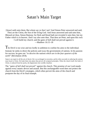## Satan's Main Target

<span id="page-29-0"></span>[Jesus] saith unto them, But whom say ye that I am? And Simon Peter answered and said,

Thou art the Christ, the Son of the living God. And Jesus answered and said unto him, Blessed art thou, Simon Barjona: for flesh and blood hath not revealed it unto thee, but my Father which is in heaven. And I say also unto thee, That thou art Peter, and upon this rock I will build my church; and the gates of hell shall not prevail against it.

—Matthew 16:15–18

 $T_{he}$  Devil is too wise and too lordly in ambition to confine his aims to the individual.

Instead, he seeks to direct the policies and sway the governments of nations. In his passion for success, he goes out *"to deceive the nations which are in the four quarters of the earth"* (Revelation 20:8).

Satan is an expert in all the arts of deceit. He is an archangel in execution, and he often succeeds in seducing the nations most loyal to Christ. He leads them into plans that pervert all scriptural principles. When the church itself, the bride of Christ, is seduced from her purity, she degenerates into worldly ritualism.

The *"gates of hell shall not prevail"* against the church. This promise of our Lord stands against every satanic device and assault. But this unchangeable word does not protect the church from the Devil's strategies, which often pervert the aims of the church and postpone the day of its final triumph.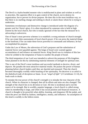The Devil is a hydra-headed monster who is multifaceted in plans and wisdom as well as in atrocities. His supreme effort is to gain control of the church, not to destroy its organization, but to pervert its divine purpose. He does this in the most insidious way, so that there is no startling change and nothing to shock or alarm those whom he is trying to undermine.

Sometimes revolutionary and destructive change is introduced under the disguise of a greater zeal for Christ's glory. It is often introduced by someone who is held in high esteem by the local church, but who is totally ignorant of the fact that the measure he is advocating is subversive.

One of Satan's most perverse schemes is to establish a wrong estimate of church strength. If he can create false assessments of local church power; if he can press the material things to the forefront; if he can make these forces powerful in commands and influence, he has accomplished his purpose.

Under the Law of Moses, the subversion of God's purposes and the substitution of material forces were guarded against. The kings of Israel were warned against accumulation of and reliance on material forces. King David was in violation of this law when he yielded to the temptation of Satan to number the people of Israel.

The third temptation of our Lord was intended to subvert the purposes of His kingdom. Satan planned to do this by substituting material elements of strength for spiritual ones.

This is one of the Devil's most insidious and successful methods to deceive, divert, and deprave. He parades the most attractive material results. He praises the power of human planning before church leaders until they are dazzled and ensnared. Then the church becomes thoroughly worldly while boasting of her spirituality. No deceiver is so artful in the diabolical trade of deception as Satan. As an *"angel of light"* (2 Corinthians 11:14), he leads souls to death.

To mistake the true power of the church's strength is to mistake the true character of the church. When its character is changed, then all its efforts and aims are also changed. The strength of the church lies in its devotion to God. All else is incidental and is not the source of its strength. But in worldly, popular language, a local church is called strong when its membership is large, and when it has social position and financial resources. A church is thought to be powerful when ability, learning, and eloquence fill the pulpit, and when the pews are filled by fashion, intelligence, money, and influence. An assumption of this kind is worldly to the fullest extent.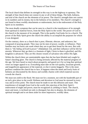The local church that defines its strength in this way is on the highway to apostasy. The strength of that church does not consist in any or all of these things. The faith, holiness, and zeal of the church are the elements of its power. The church's strength does not consist in its numbers and its money, but in the holiness of its members. The church's strength is not found in these worldly attachments or endowments, but in the endowment of the Holy Spirit on its members.

The most deadly symptom that can be seen in a church is the transference of its strength from spiritual to material forces, from the Holy Spirit to the world. The power of God in the church is the measure of its strength. This is the quality God looks for in a church. The power of the Holy Spirit gives the church the ability to accomplish the purposes for which it was designed.

On the contrary, show us a church that is poor, illiterate, obscure, and unknown, but composed of praying people. They may not be men of power, wealth, or influence. Their families may not know one week where they are to get their bread for the next. But with them is *"the hiding of* [God's] *power"* (Habakkuk 3:4), and their influence will be felt for eternity. Wherever they go there is a fountain of light, Christ in them is glorified, and His kingdom is advanced. They are His chosen vessels of salvation who reflect His light.

Within the church there are unmistakable signs that she has been blinded and caught by Satan's dazzling glare. The church is being seriously affected by the material progress of the age. We have heard so much about prosperity and gazed on it for so long that spiritual views no longer appeal to us. Everything must take on the rich quality, luxuriant growth, and magnificent appearance of the material, or else it seems beggarly. This is the most perilous condition the church has to face. It happens when the meek and lowly fruits of holiness are discounted by the showy and worldly charms with which material success crowds the church.

We must not yield to the flood. We must not for a moment, not with the hundredth part of an inch, give place to the world. Holiness and devotion to God must be stressed in every way and at every point. The church must be made to see this delusion and snare. This transference of strength from God to the world, this rejection of the Holy Spirit's endowment of might and power, must be recognized as yielding to Satan. The church, more and more, is inclined not only to disregard, but also to despise, the elements of spiritual strength and to set them aside for more impressive, worldly ideas.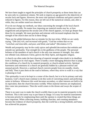We have been taught to regard the principles of church prosperity as those items that can be seen only in a statistical column. We seek to impress an age geared to the objectivity of secular facts and figures. However, the most vital spiritual conditions and gains cannot be reduced to figures. For this reason, they are left out of the numerical column, and, after a while, they are neither noted nor observed.

If we do not change our methods, our ideas concerning the strength of the local church will become worldly. No matter how imposing our material results may be, or how magnificent and prosperous the secular arm of the church appears, we must go deeper than these for its strength. We must proclaim and reiterate with increased emphasis that the strength of the church does not lie in these things.

These are the gilded delusions that we mistake for the true riches. While we are vainly saying, *"*[We are] *rich, and increased with goods,"* God has written that we are *"wretched, and miserable, and poor, and blind, and naked"* (Revelation 3:17).

Wealth and prosperity may be the costly spices and splendid decorations that embalm and entomb our spirituality. True strength lies in the godliness of the people. The personal holiness of the members of each church is the only true measure of strength. Any other test offends God, dishonors Christ, grieves the Holy Spirit, and degrades religion.

A church can often make the best showing of material strength when death in its deadliest form is feeding on its vital organs. There is hardly a more damaging delusion than to judge the conditions of a church by its material prosperity or church-related activity. Spiritual barrenness and rottenness in a church are generally hidden by a pleasant exterior and unusual growth. However, a spiritual church converts people from sin soundly, clearly, and fully. Then it puts them on the road to holiness, where they strive to walk in a way that is pleasing to God.

This spirituality is not to be kept in a corner of the church, but is to be its primary and only business. God's church must continue to do this work of converting sinners and perfecting saints in holiness. Whenever this work becomes secondary, or other interests are held to be its equivalent, then the church becomes worldly. When material interests are emphasized, they come into prominence. Then the world comes to the throne and sways the scepter of Satan.

There is no surer way to make the church worldly than to put its material prosperity in the forefront. This is the surest way to put Satan in charge. It is easy for material assessments to become priority by emphasizing them until the opinion is created that these things are most important. When collecting money, building churches, and counting attendance become the evidence of church prosperity, then the world has a strong foothold, and Satan has achieved his purpose.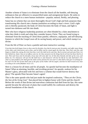Another scheme of Satan is to eliminate from the church all the humble, self-denying ordinances that are offensive to unsanctified tastes and unregenerate hearts. He seeks to reduce the church to a mere human institution—popular, natural, fleshly, and pleasing.

Satan has no scheme that can more thoroughly thwart God's high and holy purposes than transforming His church into a human institution according to man's views. God's right arm is thereby paralyzed, the body of Christ becomes the body of Satan, and light is turned into darkness and life into death.

Men who have religious leadership positions are often blinded by a false attachment to what they think is truth and what they consider honors Christ. They are found trying to eliminate from the teaching of Christ those painful, offensive, unpopular, and self-denying features to which the Gospel owes all its saving beauty and power, and which stamp it as divine.

## From the life of Peter we have a painful and most instructive warning:

From that time forth began Jesus to show unto his disciples, how that he must go unto Jerusalem, and suffer many things of the elders and chief priests and scribes, and be killed, and be raised again the third day. Then Peter took him, and began to rebuke him, saying, Be it far from thee, Lord: this shall not be unto thee. But he turned, and said unto Peter, Get thee behind me, Satan: thou art an offence unto me: for thou savourest not the things that be of God, but those that be of men. Then said Jesus unto his disciples, If any man will come after me, let him deny himself, and take up his cross, and follow me. For whosoever will save his life shall lose it: and whosoever will lose his life for my sake shall find it. For what is a man profited, if he shall gain the whole world, and lose his own soul? or what shall a man give in exchange for his soul? For the Son of man shall come in the glory of his Father with his angels; and then he shall reward every man *according to his works.*(Matthew 16:21–27)

Here is a lesson for all times and for all people. An apostle had become the mouthpiece of Satan! What an alarming, horrible, and revolting picture! An apostle, zealous for his Master's glory, advocated with fire and force a scheme that would forever destroy that glory! The apostle Peter became Satan's agent!

This is the same apostle who had just made the inspired confession, *"Thou art the Christ, the Son of the living God,"* that placed him in highest honor with Christ and the church! Before the words of that divine and marvelous confession had died from his lips, this same apostle became the advocate of plans that would nullify his confession and destroy the eternal foundations of the church.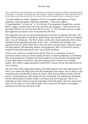## The Easy Way

Peter, a chief apostle, advocated schemes that would have discrowned Christ of His messiahship and brought heaven's favorite plan to a disastrous and shameful end! What destructive impulse compelled Peter? Satan entered him and, for the time being, achieved his purposes. But Christ reproved Peter, and in the reproof struck a crushing blow at Satan.

*"Get thee behind me, Satan"* (Matthew 16:23) is a reminder and duplicate of Jesus' response to Satan during the wilderness temptation. *"Thou art an offence* [*"stumblingblock,"* rv] *unto me"* (v. 23), He said. The temptation through Peter was the Devil's trigger to catch Christ in his trap, but Jesus saw through it. *"Thou savourest not the things which be of God, but those that be of men"* (v. 23). The Devil was not in sight. Man appeared, but Satan's views were pressed to the front.

The things that men savor in church planning and church life are against God's plan. The high and holy principles of self-denial, godly living, and surrender to Christ are all against men's view of Christianity. The Devil seeks to destroy the church indirectly. Men's views eliminate all the unpopular principles of the Cross—self-denial, life surrender, and separation from the world. When this is done, the Devil runs the church. Then the church becomes popular, self-satisfying, modern, and progressive. But it is the Devil's church, founded on principles pleasing in every way to flesh and blood.

If this occurs, Christ is no longer in the church. There is no crucifixion of self, no crucifixion of the world, no second coming of Christ, no eternal judgment, no everlasting hell, no eternal heaven. Nothing is left that reminds us of God, because everything reeks of man. Man makes it the Devil's church by turning Christ's church over to human leaders. The world is sought and gained in the Devil's church, but the soul and heaven are lost to eternity.

The very heart of this disgraceful apostasy, this dethroning of Christ and enthroning of the Devil, is to remove the Holy Spirit from His leadership in the church. Satan's plan is to put unspiritual men in leadership to direct the church. Men of great ability and men with the powers of leadership have often displaced God's leadership. The ambition for leadership and the enthronement of human leaders is the doom and seal of apostasy. There is no leadership in God's church except the leadership of the Holy Spirit. The man who has the most of God's Spirit is God's chosen leader. He is zealous for the Spirit's sovereignty, ambitious to be the least, the slave of all.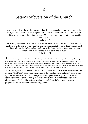## <span id="page-35-0"></span>Satan's Subversion of the Church

Jesus answered, Verily, verily, I say unto thee, Except a man be born of water and of the Spirit, he cannot enter into the kingdom of God. That which is born of the flesh is flesh; and that which is born of the Spirit is spirit. Marvel not that I said unto thee, Ye must be born again.

—John 3:5–7

Ye worship ye know not what: we know what we worship: for salvation is of the Jews. But the hour cometh, and now is, when the true worshippers shall worship the Father in spirit and in truth: for the Father seeketh such to worship him. God is a Spirit: and they that worship him must worship him in spirit and in truth. —John 4:22–24

There are two ways of directing the church: God's way and the Devil's way. God's way and man's way of running the church are entirely opposite. Man's wise plans, thoughtful resources, and easy solutions are Satan's devices. The Cross is retired and the world comes in. Self-denial is eliminated, and all seems bright, cheerful, and prosperous. Satan's hand is on the controls, and men's schemes prevail. But the church fails under these devices of men, and the bankruptcy is so complete that the court of heaven will not even appoint a successor for the collapsed corporation.

All of God's plans have the mark of the Cross on them, and all His plans have death to self in them. All of God's plans have crucifixion to the world in them. But men's plans either ignore the offense of the Cross or despise it. Men's plans have no profound, stern, or sacrificial denial in them. Their gain is of the world. How many of these destructive elements does the Devil bring into the church, until all the holy aims and heavenly purposes of the church are retired and forgotten?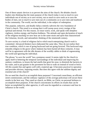One of these satanic devices is to pervert the aims of the church. He deludes church leaders into thinking that the main purpose of the church today is not so much to save individuals out of society as to save society, not so much to save souls as to save the bodies of men, not so much to save men out of a community as to save men and manhood in the community. The world, not the individual, is the subject of redemption.

This popular, seductive, and deadly fallacy entirely subverts the very foundation of Christ's church. This trend is so strong that it will sweep away every vestige of the spiritual and eternal. For this reason, we must watch, work, and speak with sleepless vigilance, tireless energy, and fearless boldness. The attitude and open declaration of much of the religious teaching we now hear are in the same strain and spirit that characterized the Unitarian, Jewish, and rationalistic thinking of the nineteenth century.

To save society is a kind of religious fad to which much enterprising church work is committed. Advanced thinkers have elaborated the same idea. They do not realize their true condition, which is one of going backward and not going forward. This backward step entombs religion in the grave where Judaism has been buried all these centuries. It may well be in agreement with the idle dreams of the worldly rabbis to think of regenerating the world and ignoring the individual.

The phrase "to save the world" has a pompous sound. It seems right for the church to apply itself to bettering the temporal surroundings of the individual and improving his sanitary conditions, to lessen the bad smells that greet his nose, to diminish the bacteria in his water, and to put granite in the pavement for him to walk on instead of wood or brick. All this sounds fine and agrees well with a material age. It becomes practical in operation and provides obvious, imposing results. But does this agree with the sublime dignity and essential aim of the church?

Do we need the church to accomplish these purposes? Concerned councilmen, an efficient street commissioner, and the ordinary vigilance of the average policeman will secure these results in the best way. They need no church, no Bible, no Christ, no personal holiness to accomplish these purposes. If the church concentrates its efforts on results that can be better accomplished by other agencies, it will soon be regarded as a nuisance and lose its influence in the world.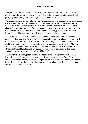### A Unique Institution

The purpose of the church of God is far superior to these childish dreams and fruitless philosophies. Its purpose is to regenerate and sanctify the individual, to prepare him by purifying and training him for the high pursuits of eternal life.

The church is like a net cast into the sea. The purpose is not to change the sea but to catch the fish out of the sea. Let the sea roll on its essential nature while the net catches its fishes. What if fishermen spent all their energies trying by some chemical process to change the essential elements of the sea, vainly hoping to improve the stock of fish? They would never catch any fish! If the church used this method, personal holiness would be impossible, and heaven would be stricken from our creed, life, and hope.

To attempt to save the world while ignoring the individual is not only Utopian but also destructive in every way. To save the world sounds like a commendable goal, but it will result in making the church worldly and unfit for her holy and sublime mission. Christ said that gaining the world and saving the man are opposing objectives. (See Matthew 16:26.) Christ taught Peter that his satanic devices would gain the world to and for the church, but would lose the soul. Everything would seem to contribute to the cause of saving the world, when in reality all would be death.

The church is distinctly, preeminently, and absolutely a spiritual institution. It is an institution created, vitalized, possessed, and directed by the Spirit of God. Her ministers and doctrines have appeal, relevance, and power only when they are channels of the Holy Spirit. It is His indwelling and inspiration that give the church its divine character and accomplish its divine purposes.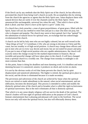If the Devil can by any methods shut the Holy Spirit out of the church, he has effectively prevented the church from being God's church on earth. He accomplishes this by retiring from the church the agencies or agents that the Holy Spirit uses. Satan displaces them with natural devices that are rarely if ever the channels used by the Holy Spirit. Christ announced this unchangeable, universal law when He said, *"That which is born of the flesh is flesh; and that which is born of the Spirit is spirit"* (John 3:6).

If a church has a holy preacher, a man of great prayerfulness, of great grace, filled with the Spirit, Satan will use any method to retire him and put in a man who does not pray, but who is eloquent and popular. The church may seem to have gained, but it has "gained" by the substitution of natural forces for spiritual ones, an exchange that has unknowingly revolutionized the church.

A church can be led by holy men who are not highly cultured, but are well-versed in the *"deep things of God"* (1 Corinthians 2:10); who are strong in devotion to Christ and His cause, but not wealthy or of high social position. A church may change these officers and put in men who are in every way decent and moral, but are not noted for prayer and piety. If you put in men of high social position who are capable administrators, the church will scarcely notice the change except for the marked improvement in finances. But an invisible and powerful change will have taken place in the church. It will have changed from a spiritual church to a worldly one. The change from noonday to midnight is not more extreme than that.

At this point, Satan is doing his deadliest and most damning work. It is deadliest and most damning because it is unnoticed, unseen; it produces no shock and excites no alarm.

It is not by the obvious works of evil that Satan perverts the church, but by quiet displacement and unnoticed substitution. The higher is retired, the spiritual gives place to the social, and the divine is eliminated because it is made secondary.

The perversion and subversion of the church are achieved by Satan when the spiritual forces are retired or made subordinate to the natural; when social entertainment, and not edification, becomes the desired goal. This process is intended to soften and modify the distinctly spiritual aims of the church and to broaden what is called the rigid exclusiveness of spiritual narrowness. But in the end it eliminates all that is distinctly spiritual.

That which is in any sense deeply religious will not survive the death of the spiritual. The church's leaders will lose sight of spiritual edification as the purpose of God's church. Instead, entertainment that is pleasing and pleasant will come to the forefront. The social forces not only will retire the spiritual forces, but also will effectually destroy them.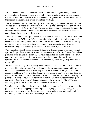A modern church with its kitchen and parlor, with its club and gymnasium, and with its ministries to the flesh and to the world is both indicative and alarming. What a contrast there is between the principles that the early church originated and fostered and those that the modern and progressive church presents as substitutes.

The original churches were faithfully spiritual. Their only purpose was to strengthen and cultivate all the elements that combine to make a deep and clear experience of God. They were training schools for spiritual life. They never lingered in the regions of the moral, the aesthetic, and the mental. They fostered no desires or inclinations that were not spiritual and did not minister to the soul's progress.

The early church took it for granted that all who came to them really desired to *"flee from the wrath to come"* (Matthew 3:7) and were sincerely yearning after full redemption. They considered it their obligation to furnish these seekers with the most sacred and exacting assistance. It never occurred to them that entertainment and social gatherings were channels through which God's grace would flow and foster spiritual growth.

These social and fleshly forces are regarded in many denominations as the perfection of spiritual things. These events are arrayed as the mature fruit of spiritual piety, flavored and perfected by its culture and progress. They are ordained as the handmaidens of the prayer and testimony meeting. I object most seriously to the union of the worldly and the spiritual. What have they in common? *"Can two walk together, except they be agreed?"* (Amos 3:3).

What elements of piety are fostered by entertainment and social gatherings? What phases of spiritual life do they promote? What feature of the gymnasium produces faith? Where do you find any elements that are aids to piety? How do social parties produce a more prayerful and holy life? How do they bring the soul nearer to God? How do they form or strengthen the ties of Christian fellowship? Are social clubs not frivolous and worldly? Do parties not cater to and suit the tastes of the carnal and worldly? What unity of purpose and spirit is there between worldly entertainment and witnessing for Christ? The one is intensely spiritual; the other has in it no evidence of spiritual benefit.

We might as well add to the list of heavenly helpers the skating rink, calisthenics, and the gymnasium. If the young people desire to join a club, enjoy a social gathering, or play parlor games, let them do so. But do not deceive them and degrade holiness by calling these things holy institutions that feed the spiritual life.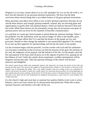Disguise it as we may; reason about it as we will; apologize for it as we do; the truth is, we have lost the intensity of our personal spiritual experiences. We have lost the deep conviction about eternal things that is an evident feature of all great spiritual movements.

Many preachers and others have fallen so low in their spiritual experience that they do not cherish these distinct and strongly spiritual methods. Instead, they are devising plans and organizations to gratify their non-spiritual desires, which are midway between Christ and the world. While these desires are not essentially wrong, they do not possess one grain of spiritual power and can never be the channels of heavenly communication.

It is said that we cannot get church people to attend distinctly spiritual meetings. What is the problem? Are the institutions worn out and no longer of value to the humble, pious soul? Who will dare affirm this? It is said that the desires of the people are low and perverted. Should we then change the methods to suit unsanctified appetites? No, instead, let us tone up their appetites for spiritual things and elevate the tastes of our people.

Let the revolution begin with the preacher. Let him wrestle with God until his ordination vow becomes revitalized so that everyone can feel the pressure of his goal, the intensity of his zeal, the singleness of his purpose, and the holiness of his life. Let the people catch the fire and purpose of his heart until all press on to the regions of perfect love, panting for all the fullness of God. Under this united, divine inspiration, worldly entertainment will be forgotten and become stale. Then the spiritual meetings of the church will become attractive and delightful.

The church cannot become allied with nonspiritual agencies. By doing this, she breaks the tension of her faith and discards the Holy Spirit. She cannot be the supplier of unsanctified desires. Neither is it her business to fall down to the beggarly task of entertaining the people. This is her saddest mistake: when her evening services are surrendered to concerts and lectures; her praise is turned into worldly music; her classrooms become parlors; her social gatherings are more popular than her prayer meetings, and the house of God becomes a house of feasting instead of a house of prayer. The unity of the Spirit and the holy brotherhood are displaced and destroyed to make room for social affinities and worldly attractions.

It is the church's high and royal duty to maintain her spotless fidelity to her Lord, to stress holiness, and to use every means for its advancement and perfection. When this is done, spiritual character and holiness will order all the rest.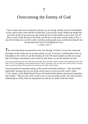# Overcoming the Enemy of God

I have written unto you, young men, because ye are strong, and the word of God abideth in you, and ye have overcome the wicked one. Love not the world, neither the things that are in the world. If any man love the world, the love of the Father is not in him. For all that is in the world, the lust of the flesh, and the lust of the eyes, and the pride of life, is not of the Father, but is of the world. And the world passeth away, and the lust thereof: but he that doeth the will of God abideth for ever.

—1 John 2:14–17

The world should be renounced by every true disciple of Christ. To love the world and the things of the world puts us in open enmity to God. If we have a relationship of love or friendship to the world, we are the enemies of God. We need commit no other sin except that of having an attachment to the world; by that alone, we are the enemies of God.

Christ Jesus said that between the world and His disciples there would be conflict, that the world would hate them. (See John 15:18–19.) Discipleship to both Himself and the world is impossible. The call, the touch, and the choice of Christ, when accepted and obeyed, become the secret and the source of the world's hatred.

Jesus declared the inevitable enmity of the world toward His followers: *"The world hath hated them, because they are not of the world, even as I am not of the world"* (John 17:14). Again, in His High Priestly Prayer, He declared this distinct and eternal separation and conflict: *"They are not of the world, even as I am not of the world."* By virtue of their relationship to Christ, they are separated from and are in conflict with the world.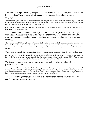# Spiritual Adultery

### This conflict is represented by two persons in the Bible: Adam and Jesus, who is called the Second Adam. Their natures, affinities, and opposition are declared in the clearest language:

The first man is of the earth, earthy: the second man is the Lord from heaven. As is the earthy, such are they also that are earthy: and as is the heavenly, such are they also that are heavenly. And as we have borne the image of the earthy, we *shall also bear the image of the heavenly.*(1 Corinthians 15:47–49)

Opposition to the world is strongly declared and demanded. The love of the world is hostile to and destructive of the love of God. The two cannot coexist.

*"Ye adulterers and adulteresses, know ye not that the friendship of the world is enmity with God? whosoever therefore will be a friend of the world is the enemy of God"* (James 4:4). Nothing is more explicit than this, nothing is more commanding, authoritative, and exacting.

*"Love not the world."* Nothing is more offensive to God, nothing is more criminal—more abominable—than love for the world. Loving the world violates the most sacred relationship of the soul with God. The purity of spiritual adulterers departs, and shame and illicit intercourse exist. Friendship with the world is heaven's greatest crime and God's greatest enemy.

#### The world is one of the enemies that must be fought and conquered on the way to heaven.

For this is the love of God, that we keep his commandments: and his commandments are not grievous. For whatsoever is born of God overcometh the world: and this is the victory that overcometh the world, even our faith. Who is he that *overcometh the world, but he that believeth that Jesus is the Son of God?*(1 John 5:3–5)

#### The Gospel is represented as a training school in which denying worldly desires is one part of its curriculum.

For the grace of God that bringeth salvation hath appeared to all men, teaching us that, denying ungodliness and worldly lusts, we should live soberly, righteously, and godly, in this present world; looking for that blessed hope, and the glorious appearing of the great God and our Saviour Jesus Christ; who gave himself for us, that he might redeem us *from all iniquity, and purify unto himself a peculiar people, zealous of good works.*(Titus 2:11–14)

There is something in the world that makes it a deadly enemy to the salvation of Christ and that poisons us against heaven.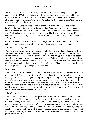What is this "world" that so effectually alienates us from heaven and puts us in flagrant enmity with God? Why is it that our friendship with the world violates our wedding vow to God? Why is it that love of the world is enmity with God and criminal to the most abominable degree? What are *"the world, the lust of the flesh, and the lust of the eyes, and the pride of life"* (1 John 2:16)?

*"The world"* includes the mass of humanity that is alienated from God and therefore hostile to the cause of Christ. It involves worldly affairs, earthly things, riches, pleasures, and pursuits that are shallow, frail, and fleeting. These things stir desire, draw us away from God, and are obstacles to the cause of Christ. The divorced or torn relationship between heaven and earth, between God and His creatures, finds its expression in the term *"the world."*

Our English word *desire* expresses the meaning of the word *lust.* It includes the world of active lusts and desires that controls the seat of desire and the natural appetites.

# *Alford's Commentary* says:

The world was constituted at first in Adam, well pleasing to God and obedient to Him. It was man's world, and in man it was summed up. In man the world fell into the darkness of selfish pursuits. Man became materialized in spirit and dragged down so as to become worldly and sensual. The world is man's world in his fall from God. "The lust of the flesh" is human nature in opposition to God. The "lust of the eyes" is that sense that takes note of physical things and is inflamed by them. The "pride of life" is the manner of worldly men whereby pride is displayed and pomp is cherished.

# Bengel said,

The "lust of the flesh" means those things on which the sense of enjoyment, taste, and touch are fed. The "lust of the eyes" means those things by which the senses of investigation—the eye and sight, hearing, smelling, and feeling—are occupied. The "pride of life" means when anyone assumes too much about himself in words or actions. Even those who do not love arrogance of life may possibly pursue the lust of the eyes. Even those who have overpowered this fault still frequently retain the lust of the flesh. This problem prevails among the poor, the middle class, and the powerful. It is even found among those who appear to exercise self-denial.

# John Wesley said,

The "desire of the flesh" means the pleasures of the outward senses, whether of taste, smell, or touch. The "desire of the eye" refers to the pleasures of the imagination, to which the eye is chiefly subservient. It is that internal sense whereby we relish what is grand, new, or beautiful. The "pride of life" means everything that we use to generate respect from other people—fancy clothing, houses, furniture, and manner of living—anything that gratifies our pride and vanity. It therefore directly includes the desire for praise and involves a certain degree of covetousness. All these desires are not from God, but from the prince of this world.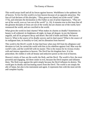This world arrays itself and all its forces against heaven. Worldliness is the epidemic foe of heaven. To live for this world is to lose heaven because of an opposite attraction. The Son of God declares of His disciples, *"Thou gavest me* [them] *out of the world"* (John 17:6), and reiterates the declaration to His Father as one of prime importance, *"They are not of the world, even as I am not of the world"* (v. 16). It remains true to this hour that all the genuine disciples of Jesus are not of the world, but are chosen out of the world, have renounced the world, and are crucified to the world.

What gives the world its fatal charms? What makes its charms so deadly? Sometimes its beauty is all withered, its brightness all night, its hope all despair, its joy the bitterest anguish, and all its prospects decay and desert. But still it holds and binds. We hate to leave it. What is the source of its deadly sorcery and its fatal snares? What is the source of its malignant hate, its hostility to God, and its alienation from heaven?

This world is the Devil's world. In that fatal hour when man fell from his allegiance and devotion to God, he carried the world with him in his rebellion against God. Man was the world's ruler, and the world fell with its master. This is the reason for its vicious rivalry with and intense opposition to heaven. The Devil has his kingdom here. It is his princedom. He clothes it with all beauty and seductive power as the rival of heaven.

Heaven's trinity of foes are the world, the flesh, and the Devil. The world is first, the most powerful and engaging. All three center in evil, because the Devil inspires and inflames them. The flesh wars against the spirit simply because the Devil inflames its desires. The world gets its deadly and fascinating snares from the Devil. The world is not simply the ally of Satan, but also is his instrument and agent. It represents him with the most servile and complete loyalty.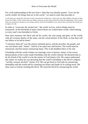For a full understanding of the text from 1 John that was already quoted, *"Love not the world, neither the things that are in the world,"* we need to read what precedes it:

I write unto you, young men, because ye have overcome the wicked one. I write unto you, little children, because ye have known the Father. I have written unto you, fathers, because ye have known him that is from the beginning. I have written unto you, young men, because ye are strong, and the word of God abideth in you, and ye have overcome the wicked one. (1 John 2:13–14)

In order to *"overcome the wicked one,"* the world, its love, and its things must be renounced. At the threshold of many church doors are written these words, which belong to every soul's true betrothal to Christ:

Dost thou renounce the Devil and all his works, the vain pomp and glory of the world, with all covetous desires of the same, and the carnal desires of the flesh, so that thou wilt not follow or be led by them?

"I renounce them all" was the answer solemnly given, and the preacher, the people, and our own hearts said, "Amen." And let it be amen now and forever. The world must be renounced, and that means renouncing Satan. This is the deadliest blow to his rule.

Friendship with the world violates our marriage vows to heaven. James, in his severe denunciations of the world, made friendship with the world criminal. He declared that to be the friend of the world is to be the enemy of God (James 4:4). We cannot understand this unless we realize he was declaring that the world's friendship is the Devil's religion, *"earthly, sensual, devilish"* (James 3:3). We can get back to God only by renouncing friendship with the world and by cleansing our hearts and hands of its soiling touch. We draw near to God by resisting the Devil. We resist the Devil by renouncing the world.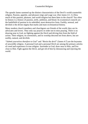The apostle James summed up the distinct characteristics of the Devil's world-counterfeit religion. Passion, appetite, and pleasure reign and wage war. (See James 4:1–3.) How much of this passion, pleasure, and world religion has there been in the church? Too often its history is a history of passion, strife, ambition, and blood. Its ecumenical councils are the battlefield of passion in its unbridled, most destructive form. Earthly, sensual, and devilish is the divine stigma that marks and mars ecclesiastical history.

Many modern church members and churchgoers are friends of the world; they are its advocates and lovers. They only say prayers in order not to miss praying. There is no drawing near to God, no fighting against the Devil and driving him from the field of action. Their religion, its ceremonies, and its worship descend not from above, but are earthly, natural, and devilish.

*"Submit yourselves therefore to God"* and *"Resist the devil"* (James 4:7) are the keynotes of unworldly religion. A personal God and a personal Devil are among the primary articles of creed and experience in true religion. Surrender to God, draw near to Him, and live close to Him. Fight against the Devil, and get rid of him by denouncing and rejecting the world.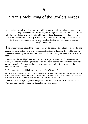# Satan's Mobilizing of the World's Forces

And you hath he quickened, who were dead in trespasses and sins: wherein in time past ye walked according to the course of this world, according to the prince of the power of the air, the spirit that now worketh in the children of disobedience: among whom also we all had our conversation in times past in the lusts of our flesh, fulfilling the desires of the flesh and of the mind; and were by nature the children of wrath, even as others. —Ephesians 2:1–3

 $T$ he divine warning against the course of the world, against the fashion of the world, and against the spirit of the world is given because the Devil is directing the world's course. The Devil is creating the world's spirit, and the Devil is cutting the pattern of the world's fashion.

The touch of the world pollutes because Satan's fingers are in its touch. Its desires are deadly and heaven-quenching because Satan kindles its desires. The world and its things are contraband in Christian warfare because Satan is the ruler of the world and the administrator of its affairs.

In Ephesians, Satan and his legions are called *"world-rulers"*:

Put on the whole armour of God, that ye may be able to stand against the wiles of the devil. For our wrestling is not against flesh and blood, but against the principalities, against the powers, against the world-rulers of this darkness, *against the spiritual hosts of wickedness in the heavenly places.* (Ephesians 6:11–12 rv)

The world rulers are principalities and powers that are under the direction of the Devil. They rule this world by ruling the things that rule this world.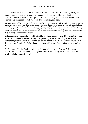Satan seizes and directs all the mighty forces of this world! War is seized by Satan, and it is no longer the patriot's struggle for freedom or the defense of home and native land. Instead, it becomes the tool of despotism; it crushes liberty and enslaves freedom. War carries on a campaign of lust, rape, cruelty, desolation, and death.

Money is another of the world's ruling forces that could be used to beautify the earth and to lay up a good foundation against the time to come. It should be used to ease the burdens of the poor, to banish poverty, and to brighten the homes of widows and orphans. Money is a mighty world-ruling power. The Devil rules it, and, instead of flowing at the command of compassionate love, it is diverted by Satan for selfish and unholy purposes. Satan excites men to covetousness and hardens them into callousness. Men become illustrious and esteemed by the world's standards when they are money-getters and money-keepers.

Education is another mighty world-ruling force. Satan chains it, and it becomes the source of pride and ungodly power. Its mighty engineering is turned into "higher criticism." Under the guise of Christian learning, education becomes the most powerful ally to Satan by unsettling faith in God's Word and opening a wide door of skepticism in the temple of God.

In Ephesians 2:2, the Devil is called the *"prince of the power of the air."* The natural forces of the world are under his dangerous control. How many destructive storms and cyclones is he responsible for?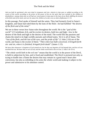# The Flesh and the Mind

And you hath he quickened, who were dead in trespasses and sins: wherein in time past ye walked according to the course of this world, according to the prince of the power of the air, the spirit that now worketh in the children of disobedience: among whom also we all had our conversation in times past in the lusts of our flesh, fulfilling the desires of the flesh and of the mind; and were by nature the children of wrath, even as others.(Ephesians 2:1–3)

In this passage, Paul spoke of himself and the saints. They had formerly lived in Satan's kingdom, and Satan had ruled them by the lusts of the flesh—he had fulfilled *"the desires of the flesh and of the mind."*

We see in these verses how Satan rules throughout the world. He is the *"god of this world"* (2 Corinthians 4:4), and he excites its desires, both low and high—low in the desires of the flesh and high in the desires of the mind. The world fills the passions and chains the mind in its high worldly pursuits and refined tastes. Yet it is all of Satan. The *"lust of the flesh, and the lust of the eyes, and the pride of life"* (1 John 2:16) are of the world, and Satan is the exciter of them: *"Then when lust hath conceived, it bringeth forth sin: and sin, when it is finished, bringeth forth death"* (James 1:15).

We know that whosoever is begotten of God sinneth not; but he that was begotten of God keepeth him, and the evil one toucheth him not. We know that we are of God, and the whole world lieth in the evil one. (1 John 5:18–19 rv)

*"The whole world lieth in the evil one"* means that the world is in the power of the Devil, is held in subjection by him, and is fixed and established. The Devil is pictured not only as trying to kindle into a flame the desires that may remain in a good man's heart after conversion, but also as enfolding in his arms the whole world and making it subject to his power and submissive to his absolute control.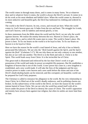The world comes in through many doors, and it comes in many forms. Yet at whatever door and in whatever form it comes, the world is always the Devil's servant. It comes in to do his work as his most obedient and faithful slave. When the world comes in, dressed in its most seductive and beautiful garb, the Devil has fashioned its clothing and ordered its coming.

The world is the Devil's heaven. Its rest, crown, and reward are here. When the world comes in, God's heaven goes out. It fades from the eye and heart. The struggle for it ends, and God's heaven, with its fadeless and eternal glories, is lost.

In these statements from the Bible about the world and the Devil, we see why the world opposes heaven. We realize the enmity between the two. Heaven is Christ's place, the place where He is, and to which He wants men to come. The world is Satan's place. His power is here. To fix our hearts on the world is to be loyal to him. To fix our hearts on heaven is to be loyal to Christ.

Here we have the reason for the world's cruel hatred of Jesus, and why it has so bitterly persecuted His followers. We see why the *"flesh lusteth against the Spirit, and the Spirit against the flesh"* (Galatians 5:17). We see why these are not only contrary to one another, but also at war with one another. The Devil is in the flesh and rules it. Christ is in the Spirit. This world leads away from Christ. It is the invincible foe of Christ.

This great truth is illustrated and enforced by the fact that Christ's work is to get possession of the world and make its power accomplish His purposes. But He establishes a kingdom of heaven that is not of this world. A new power has come in; a new kingdom is established, and a new world made. It will take the fires of the judgment and the new creative power to make a new heaven and a new earth before the stains and ruin of the Devil's death-dealing hands can be removed, and this corrupted, yet beautiful, world can be prepared for God's holy purposes.

The Christian is called to renounce his allegiance to the world. By his very relationship to Jesus Christ, he is lifted out of the world's deadly embraces, and its polluting charms are broken. In this subserviency of the world to the Devil, we have the reason for the world's intense hatred of Jesus Christ. We can see why the world has armed itself with all its forces under the power of the Devil to destroy the cause of Christ. The world's opposition and enmity have always been against true religion, but often its smiles are more fatal than its hate.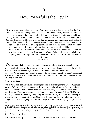# How Powerful Is the Devil?

Now there was a day when the sons of God came to present themselves before the Lord, and Satan came also among them. And the Lord said unto Satan, Whence comest thou? Then Satan answered the Lord, and said, From going to and fro in the earth, and from walking up and down in it. And the Lord said unto Satan, Hast thou considered my servant Job, that there is none like him in the earth, a perfect and an upright man, one that feareth God, and escheweth evil? Then Satan answered the Lord, and said, Doth Job fear God for nought? Hast not thou made an hedge about him, and about his house, and about all that he hath on every side? thou hast blessed the work of his hands, and his substance is increased in the land. But put forth thine hand now, and touch all that he hath, and he will curse thee to thy face. And the Lord said unto Satan, Behold, all that he hath is in thy power; only upon himself put not forth thine hand. So Satan went forth from the presence of the Lord.

—Job 1:6–12

 $\mathbf{W}_{\mathsf{e}}$  have seen that, instead of minimizing the power of the Devil, Jesus exalted him to the pinnacle of power as the prince of this world. In the significant events of Christ's life, the Devil was the one evil agent whom Christ had in mind and to whose rule He was opposed. We have seen how soon the Devil followed in the wake of our Lord's baptism at the Jordan. Satan came to Jesus after He was anointed by the Holy Spirit and entered into His public ministry.

#### Power over Satan

When Jesus first commissioned His disciples, one of their assignments was to *"cast out devils"* (Matthew 10:8). Jesus appointed seventy more disciples to go forth to minister, and when they returned to report their work to Christ, they said, with evident surprise and gratification, *"Even the devils are subject unto us through thy name"* (Luke 10:17). He replied, *"I beheld Satan as lightning fall from heaven"* (v. 18). When He was opening His disciples' hearts to receive the great Comforter, He declared that the Holy Spirit was to *"reprove the world…of judgment, because the prince of this world is judged"* (John 16:8, 11).

In one of His impassioned outbreaks, as the pain of His great agony drew nearer, Jesus cried, *"Now is my soul troubled"* (John 12:27). However, the darkness is relieved by a gleam of light in which He sees the ruin of Satan's kingdom and the Devil spoiled, dethroned, and cast out by the power of His cross: *"Now is the judgment of this world: now shall the* prince of this world be cast out. And I, if I be lifted up from the earth, will draw all men unto me" (vv. 31–32).

#### Satan's Power over Men

But as the darkness grew deeper and the anguish more bitter, He saw the approaching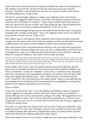form of him who controls the powers of darkness. Hushed into silence in the presence of this relentless and cruel Foe, the Son of God said to His sorrowing and awestruck disciples, *"Hereafter I will not talk much with you: for the prince of this world cometh, and hath nothing in me"* (John 14:30).

The Devil's sad and mighty influence is further seen within the circle of the chosen disciples. Peter staggered under the blow of the Devil. The shameful denial by Peter was referred to by Christ before it took place: *"Simon, Simon, behold, Satan hath desired to* have you, that he may sift you as wheat: but I have prayed for thee, that thy faith fail not: *and when thou art converted, strengthen thy brethren"* (Luke 22:31–32).

Jesus Christ acknowledged the great power and authority that the Devil has in the present deranged order of things. He declared, *"Now is the judgment of this world: now shall the prince of this world be cast out"* (John 12:31).

How defiant Satan is! He opposed Christ stubbornly with reckless and often successful courage. Into the chosen circle of the Twelve he entered, into the one who had been trusted as their treasurer, the receiver and the disburser of their money and their charity.

One of the sacred Twelve was possessed and moved to carry out in the most hypocritical, false way Satan's infamous designs. He came very close to adding Peter to the black list of his disgraceful recruits. It is evident that the Devil had much to do with Peter's dastardly denial, his lying and blasphemy. The words of Christ make this plain:

And the Lord said, Simon, Simon, behold, Satan hath desired to have you, that he may sift you as wheat: but I have prayed for thee, that thy faith fail not: and when thou art converted, strengthen thy brethren. And he said unto him, Lord, I am ready to go with thee, both into prison, and to death. And he said, I tell thee, Peter, the cock shall not crow this day, *before that thou shalt thrice deny that thou knowest me.*(Luke 22:31–34)

In the parable of the sower, Christ set forth the unseen but powerful influence that the Devil exerts to neutralize the Word of God. In the record of this parable by Matthew, the Devil is termed the *"wicked one"* (Matthew 13:19). This is a statement of his personality and of the concentration of his preeminent wickedness. He snatches away the seed of the Word with vigilant and diabolical hate. *"Then cometh the devil, and taketh away the word"* (Luke 8:12). He is the destroyer of the seeds of good. Satan is so powerful that the incorruptible and eternal Word of God is prevented from accomplishing its saving efforts because of his vigilance and influence over the mind.

### Power to Afflict

In the story of Job and his trials, we see the Sabeans and Chaldeans ready to respond to Satan's suggestion to make their raids on Job's herds. Satan's power is not limited to outside influence, but is direct and powerful, getting on the inside. His suggestions of evil are almost godlike at times. They excite our passions or principles so we cannot see the wrong until it is too late. As we saw earlier, this was true in the case of Satan's suggestion to David to number Israel.

His power is so great that even the best men, who are able to resist his temptations, come under his power for a time. The Christians at Smyrna were so under his power that, while he could not alienate their affections or disturb their loyalty, he could put them in prison. All his life, Paul felt the buffeting inflicted by Satan's power.

When Peter denied Christ, he was in Satan's hands and was on the verge of giving in to his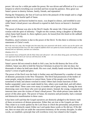power. Job was for a while put under his power. He was driven and afflicted as if in a cruel tempest in which everything was wrecked and lost except his patience. How great was Satan's power to destroy fortune, family, friends, and reputation!

During the Temptation, the Son of God was led to the pinnacle of the temple and to a high mountain by the fearful spell of Satan.

Angels retired, and heaven hushed its music, was draped in silence, and trembled in awe while Satan's dread power was allowed to expend its dark forces on heaven's Anointed One.

The power of disease was also in the Devil's hands. He smote Job. Christ said of the woman with the spirit of infirmity: *"Ought not this woman, being a daughter of Abraham, whom Satan hath bound, lo, these eighteen years, be loosed from this bond on the sabbath day?"* (Luke 13:16).

Doubtless, much sickness is due to the power of the Devil. To this there is reference in the statements of Christ's work:

When the even was come, they brought unto him many that were possessed with devils: and he cast out the spirits with his word, and healed all that were sick: that it might be fulfilled which was spoken by Esaias [Isaiah] the prophet, saying, *Himself took our infirmities, and bare our sicknesses.*

```
(Matthew 8:16–17)
```
God anointed Jesus of Nazareth with the Holy Ghost and with power: who went about doing good, and healing all that *were oppressed of the devil; for God was with him.*(Acts 10:38)

Power over the Body

Satan's power did not extend to death in Job's case, but he did destroy the lives of his children. Satan was able to hold the Smyrna Christians in prison for only ten days, but thousands of others he held unto death. His own cruel, deadly hands weaved for them the martyr's crown of gold and glory.

The power of the Devil over the body is further seen and illustrated by a number of cases of demonic possession in the New Testament. The Devil had possession of the bodies of some people, using his demons to control them. Some of the people were fearfully tormented in body and almost wrecked in mind. Others had certain functions of their bodies suspended: some were made dumb by him, others were made deaf, and still others were made blind. These cases were many in number and of great variety. Among the most distressing cases were those who were not great sinners. Instead, the young, comparatively innocent ones were the victims of Satan's dread power. The whole person came under the power of this alien spirit. The power of Satan, his nearness and personality, had a constant and destructive manifestation in these cases.

It has been well said that the Gospel narratives are distinctly pledged to the historic truth of these occurrences of demon possession. Either they are true or the Gospels are false. They relate to us words spoken by the Lord Jesus in which the personality and presence of the Devil are distinctly stated. Either our Lord spoke these words or He did not. If He did not, then we must also set aside the concurrent testimony of the seventy disciples. In other words, we establish a principle that will overthrow every fact related in the Gospels.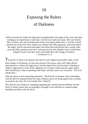# Exposing the Rulers of Darkness

And he showed me Joshua the high priest standing before the angel of the Lord, and Satan standing at his right hand to resist him. And the Lord said unto Satan, The Lord rebuke thee, O Satan; even the Lord that hath chosen Jerusalem rebuke thee: is not this a brand plucked out of the fire? Now Joshua was clothed with filthy garments, and stood before the angel. And he answered and spake unto those that stood before him, saying, Take away the filthy garments from him. And unto him he said, Behold, I have caused thine iniquity to pass from thee, and I will clothe thee with change of raiment. —Zechariah 3:1–4

 $T$ he power of Satan is far greater than that of God's highest and earthly saints. In the third chapter of Zechariah, we have the picture of his power with God's high official representatives. Joshua, the high priest, and the angel of the Lord are there. Standing at Joshua's right hand to resist all his righteous acts is Satan. Joshua and the angel realize their insufficiency when contending with Satan, and they send a cry to heaven, *"The Lord rebuke thee."*

Jude also gives us this interesting statement: *"Michael the archangel, when contending with the devil he disputed about the body of Moses, durst not bring against him a railing accusation, but said, The Lord rebuke thee"* (Jude 9).

This obscure text teaches us something regarding this contest between Michael and the Devil. It clearly shows that an archangel's strength is not sufficient to contend singlehandedly and alone with the Devil.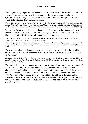Daniel gives us a glimpse into the power and conflict that exist in the unseen and spiritual world that lies so near our own. This invisible world has much to do with how our spiritual battles are fought and our victories are won. Daniel had been praying for three weeks before the angel and the answer came.

Then said he unto me, Fear not, Daniel: for from the first day that thou didst set thine heart to understand, and to chasten thyself before thy God, thy words were heard, and I am come for thy words. But the prince of the kingdom of Persia withstood me one and twenty days: but, lo, Michael, one of the chief princes, came to help me.(Daniel 10:12-13)

We see how Satan works. If he cannot keep people from praying, he can cause delay in the answer to prayer. In this way he tries to discourage and break down their faith. He wants Christians to minimize the power of urgent, persistent praying.

Satan's invisible influence is seen in his power to use people to cast others into prison. To the little church at Smyrna, Jesus Christ wrote in commendation, warning, and consolation,

Fear none of those things which thou shalt suffer: behold, the devil shall cast some of you into prison, that ye may be tried; and ye shall have tribulation ten days: be thou faithful unto death, and I will give thee a crown of life.(Revelation 2:10)

There are special seats or headquarters of his power, places where the Devil makes his home and rules with an absolute control. Christ referred to this in His letter to the church of Pergamos:

I know thy works and where thou dwellest, even where Satan's seat is: and thou holdest fast my name, and hast not denied my faith, even in those days wherein Antipas was my faithful martyr, who was slain among you, where Satan *dwelleth.* (Revelation 2:13)

The book of Revelation speaks of some who *"say they are Jews…but are the synagogue of Satan"* (Revelation 2:9). Are there churches that are called Christian, but are really churches of Satan? In Christ's letters in Revelation to the seven churches in Asia, we see how the ascended and enthroned Son of God presented the same view of the Devil. The *"depths of Satan"* (Revelation 2:24) are referred to in the address to Thyatira. In this Revelation of Christ to John, the Devil is still declared to be *"the dragon, that old serpent, which is the Devil, and Satan"* (Revelation 20:2). He is declared to have *"great wrath"* (Revelation 12:12).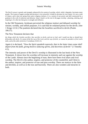# Satanic Worship

The Devil's power is greatly and strangely enhanced by his system of worship, which, while it degrades, fascinates many people. The system of pagan worship and devotion is very powerful. It holds its devotees by iron chains. It is not a work of chance, and it does not spring from native religious instincts. It is a system of rare power and skill constructed by a graduate in the craft of seduction and delusion. Satan's hand is at the root of all pagan worship—planning, ordering, and inspiring it. It is this fact that gives it strength and influence.

In the Old Testament, Jeroboam perverted the religious instinct and debased worship for sinister, worldly, and selfish purposes. It is said that he ordained priests for the devils. (See 1 Kings 12:32.) The psalmist declared that the Israelites sacrificed to devils (Psalm 106:37).

The New Testament declares that

the things which the Gentiles sacrifice, they sacrifice to devils, and not to God: and I would not that ye should have fellowship with devils. Ye cannot drink the cup of the Lord, and the cup of devils: ye cannot be partakers of the Lord's *table, and of the table of devils.*(1 Corinthians 10:20–21)

Again it is declared, *"Now the Spirit speaketh expressly, that in the latter times some shall depart from the faith, giving heed to seducing spirits, and doctrines of devils"* (1 Timothy 4:1).

The intensity and power of the Devil's worship is illustrated in the last book of the New Testament. It shows how his worship will increase in intensity and war against the worship of the Lamb. Almost since the beginning of man, there have been rival altars and rival worship. The Devil is the author, inspirer, and protector of the counterfeit; and Christ is the author, inspirer, and protector of true and pure worship. There are martyrs in the false and devilish, as well as in the true and heavenly. There are also wonders and miracles in both.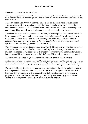### Revelation summarizes the situation:

And they had a king over them, which is the angel of the bottomless pit, whose name in the Hebrew tonque is Abaddon, but in the Greek tongue hath his name Apollyon. One woe is past; and, behold, there come two woes more hereafter. (Revelation 9:11–12)

These are not lawless *"woes,"* and their authors are not disorderly and reckless mobs. They are organized. Strictest obedience to the Devil prevails. They are *"principalities"* and *"powers"* (Ephesians 6:12) of the first order of creation and of great personal power and dignity. They are ordered and subordered, coordinated and subordinated.

They have the most perfect government—military in its discipline, absolute and orderly in its arrangement. They are under one supreme, dictatorial, powerful head, complete with rank and file and officers. *"For we wrestle not against flesh and blood, but against principalities, against powers, against the rulers of the darkness of this world, against spiritual wickedness in high places"* (Ephesians 6:12).

These high and wicked spirits are everywhere. They fill the air and are intent on evil. They follow the direction of their leader, carrying out his plans with ready obedience and implicit confidence. How loathsome is their nature! How marvelous and miracle-working is their power! How high and kingly is their influence! How military are their purposes!

All this is vividly and strongly set forth in the sixteenth chapter of Revelation:

And I saw three unclean spirits like frogs come out of the mouth of the dragon, and out of the mouth of the beast, and out of the mouth of the false prophet. For they are the spirits of devils, working miracles, which go forth unto the kings of the earth and of the whole world, to gather them to the battle of that great day of God Almighty. (Revelation 16:13–14)

The power of Satan finds its great increase and expression in the efforts and operations of the unregenerate. They are under his power, subjects of his kingdom of darkness. More than that, they are intimate in their connection with Satan; they are so close in unity, purpose, and relationship that they belong to his family. His paternity gives birth and character to them; his fatherhood binds them in a strong embrace.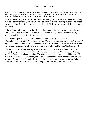How defiant, bold, sacrilegious, and presumptuous is the power of the Devil! He came so near the sacred person of Christ! He invaded the sacred circle of His chosen apostles. Judas fell from his high position—tempted, possessed by Satan, and filled with remorse. He committed suicide, and hell is his forever.

Peter acted as the spokesman for the Devil, becoming the advocate of a non-cross-bearing, non-self-denying worldly religion. He was so affected by the Devil's power that he cursed, swore, and lied. Peter found himself stained and defiled. He was saved only by the prayers of Christ.

John and James fell prey to the Devil when they wanted fire to come down from heaven and burn up the Samaritans. Christ sharply showed that they did not have His Spirit, but the other spirit—the spirit of the destroyer.

Paul had his apostolic plans interfered with and hindered by the Devil. To the Thessalonians, he wrote: *"Wherefore we would have come unto you, even I Paul, once and again; but Satan hindered us"* (1 Thessalonians 2:18). And he bore to his grave the marks on his body of the power of this ancient Foe of apostolic fidelity. (See Galatians 6:17.)

Yet the power of Satan is not supreme. It is limited. This was true in Job's case. Satan could go only so far in afflicting him. And ever since the Son of God came into the world, the Devil's power has been curtailed. The Cross gave a shock to Satan and his power. His realm of death has been abolished, and *"life and immortality* [have been brought] *to light through the gospel"* (2 Timothy 1:10). His kingdom received its death stroke on Calvary. The almighty forces of the Gospel are laying hold of the mighty forces of Satan.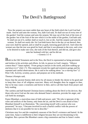# The Devil's Battleground

Now the serpent was more subtle than any beast of the field which the Lord God had made. And he said unto the woman, Yea, hath God said, Ye shall not eat of every tree of the garden? And the woman said unto the serpent, We may eat of the fruit of the trees of the garden: but of the fruit of the tree which is in the midst of the garden, God hath said, Ye shall not eat of it, neither shall ye touch it, lest ye die. And the serpent said unto the woman, Ye shall not surely die: for God doth know that in the day ye eat thereof, then your eyes shall be opened, and ye shall be as gods, knowing good and evil. And when the woman saw that the tree was good for food, and that it was pleasant to the eyes, and a tree to be desired to make one wise, she took of the fruit thereof, and did eat, and gave also

unto her husband with her; and he did eat.

 $-$ Genesis  $3:1-6$ 

 $B$ oth in the Old Testament and in the New, the Devil is represented as being persistent and tireless in his activities and efforts. In Job, in answer to God's inquiry, *"Whence comest thou?"* Satan replied, *"From going to and fro in the earth, and from walking up and down in it"* (Job 1:7). This statement reveals his rapid and extensive goings and his repeated and careful observations. He is said to be walking about *"as a roaring lion"* (1 Peter 5:8). Activity, scrutiny, power, and purpose are in his methods.

Thomas à Kempis said,

Know that the ancient Enemy doth strive by all means to hinder thy desire to be good and to keep thee clear of all religious exercises. Many evil thoughts does he suggest to thee, that so he may cause a weariness and horror in thee, and to call thee back from prayer and holy reading.

The careless and half-hearted Christian knows nothing about the Devil or his devices. But those who serve God are the ones who demand Satan's attention, provoke his anger, and call forth his strategies.

Pastor Blumhart, a marvelous man of faith and power, said, "He who is ignorant of the wiles and artifices of the Enemy, only beats the air, and the Devil is not afraid of him." Blumhart himself is an illustration. "By concerning myself with a person who was possessed," he says, "I became involved in such a fearful conflict with the powers of darkness that it is not possible for me to describe."

Christians may live and die completely unaware of the Devil's existence and hatred. At the same time, Satan is indifferent to their religion because they are not threatening to his kingdom. But a person like Blumhart causes a big commotion and fear in Satan's realm.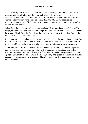Satan works by imitation. It is his policy to make something as close to the original as possible and, thereby, to break the force and value of the genuine. This is one of his favorite methods. As Jannes and Jambres withstood Moses by their false tricks, so Satan carries on his work by lying wonders. (See 2 Timothy 3:8.) As his apostles are transformed into angels of light (see 2 Corinthians 11:14–15), so his wonders are looked on as first-class miracles.

What about the revelations of his person? God and Christ have been revealed in bodily shape, by figure, and by representation. Majestic, visible manifestations have been seen by holy men of God. Does the Devil have the power to clothe himself in visible form to the human eye? Can he incarnate himself?

Satan seems to have clothed himself in some visible shape at the temptation of Christ. But the form he used is not recorded. Perhaps he appeared in the form of a man, doubtless a pious man. Or maybe he came as a religious hermit from the seclusion of the desert.

In the days of Christ, Satan revealed himself by taking absolute possession of a person, and he used other personalities through which to manifest his being and power. His manifestations are insidious and deceptive disguises. He sometimes appears as *"an angel of light"* (2 Corinthians 11:14), with the bloom, beauty, and spices of paradise on him. His appearance seems unearthly in splendor, his voice gentle, musical, persuasive, with no traces of the fall.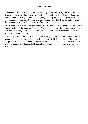The Devil affects the body and, through the body, affects our loyalty to Christ. Job was tried by his sickness. So the Devil tries us by sickness. In the days of Christ, Satan was very active in affecting the body, not simply by ordinary diseases, but by what is termed *"possessed with a devil."* (See, for example, Matthew 9:32.) In those cases, he worked by breaking down some of the body's chief functions.

His method is to assume any shape that will suit his purposes at the time. Doubtless, there was something in the shape or character of the serpent that gave him easier access to Eve. Dressed as an *"angel of light"* (2 Corinthians 11:14), his appearance commends him to those who are pure and unsuspecting.

As a *"thorn"* (2 Corinthians 12:7), Satan desires to give only pain to those who, like Paul, cannot be seduced or swerved from the fixed course of fidelity. He put the Christians at Smyrna in prison and chained their bodies because he could not shackle their souls. With matchless cunning and unspeakable persistence, he applies his methods to seduce and damn.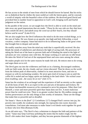He has access to the minds of men from which he should forever be barred. But his tricks are so diabolical that he clothes the most sordid act with the fairest guise, and he conceals a world of iniquity with the beautiful colors of the rainbow. He deceived good David and provoked him to number Israel in opposition to God's will, bringing swift and fearful judgment on the nation.

In the parable of the sower, we are taught how the Devil is able to work on the mind and take away any good impressions that are made. *"Those by the way side are they that hear; then cometh the devil, and taketh away the word out of their hearts, lest they should believe and be saved"* (Luke 8:12).

We are also taught how the Devil influences the mind to do the most wicked things, as in the case of Judas. He was chosen as an apostle, into high and holy fellowship, a royal vocation, a select company. Satan had much to do in influencing Judas to the great crime that brought him to despair and suicide.

He readily snatches away from the mind any truth that is superficially received. He also blinds the minds of unbelievers and obstructs the light of saving truth. His processes of taking the Word out of the heart to prevent faith and of blinding the mind to the light of salvation are very common ones with him. He keeps working at it and eats no idle bread. He takes the Word of God out of the unprepared heart and sows tares among the wheat.

He makes people sick for the same reasons he made Job sick. He entices men to do wrong and urges them on to evil.

The Devil goes out into the wilderness and finds us in a fainting, discouraged condition, with our faith weak, the sky cloudy, and our vision obscured. Then he shows us the world from the loftiest peak of observation, clothed in its most attractive form, and tries to ensnare us with its enchanting wonders. He never gets tired of trying to ruin us until the coffin lid is sealed and our happy spirits are bathing in the land where *"the wicked cease from troubling; and…the weary be at rest"* (Job 3:17).

Satan has the wisdom of an archangel and the experience of half an eternity as the captain of all the hosts of hell. He is an expert in the acts and arts of deception and trickery. He has almost inexhaustible resources at his command to serve his purposes. Other than God Himself, a wiser and more powerful spirit than Satan does not live. A more malicious power than he could not exist. There is no greater worker than he. His endless energy and tireless perseverance are the only things in him worthy of imitation. These are the things that make him so powerful and so dreadful.

Yet Satan's *"thorn in the flesh"* (2 Corinthians 12:7) changed Paul's sorrow into joy, his poverty into wealth, his weakness into strength, his reproaches into sweet, heavenly consolations. God must take measures to make Satan's evil deeds work together for good to those who love Him (Romans 8:28).

As an old saint says, "The Devil is but a whetstone to sharpen the faith and patience of the saints." Satan may keep God busy polishing the stones that he makes rough, but the Devil's dirt makes their luster brighter, and they become genuine diamonds of the highest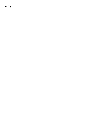quality.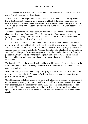Satan's methods are as varied as the people with whom he deals. The Devil knows each person's weaknesses and tendency to sin.

To Eve he came in the disguise of a well-wisher, subtle, serpentine, and deadly. He incited her to disobedience by pointing her to greater heights of godlikeness, along paths of sensual enjoyment. A false and selfish accusation was lodged in her mind against God. No danger was apparent, and he used no distressing tactics. Instead, he allured, deceived, and ensnared.

The method Satan used with Job was much different. He was a man of outstanding character, of whom the Lord said, *"There is none like him in the earth, a perfect and an upright man, one that feareth God and escheweth evil"* (Job 1:8). What methods could Satan devise for the saintliest of the saints?

Satan went to God and accused Job of being selfish in his motives, reducing his piety to the worldly and sinister. No alluring paths, no divergent flowery ways were pointed out to Job by Satan; not a word was said to him. Without a note of warning, tragedy and disaster came as an awful surprise and shock. With one desolating blow, his family of ten children were dead and his princely fortune was gone; one dark hour had robbed him of family and possessions. Stripped naked by the fearful rapidity and depth of his losses, he became homeless, childless, and friendless. His grief was inconsolable and the darkness impenetrable.

The integrity of Job is like a marble column blackened by smoke. He was unshaken by the fiery ordeal, but was still pursued by the Devil. Still Satan insinuated and maligned the genuineness of Job's piety.

He did not recognize Job's noble fidelty or lofty loyalty. Satan continued to attribute low motives as the reason for Job's integrity. With heartless cruelty and malicious lies, he pursued his death-dealing work.

Out of his arsenal of hellish weapons, he came with a loathsome disease. He concentrated on this one saint, adding affliction onto affliction, until his wife was alienated, his friends were estranged, and his enemies were triumphant. There was no relief for his hopeless, bitter grief. His pious reputation has been blackened, his body tortured, his mind put in agony. This is another of Satan's methods: to distress and defame those whom he cannot deceive.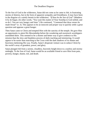To the Son of God in the wilderness, Satan did not come as he came to Job, in frustrating storms of distress, but in the form of apparent sympathy and friendliness. It may have been in the disguise of a saintly hermit in the wilderness. *"If thou be the Son of God"* (Matthew 4:3), he began. (In other words, "You want this matter of Your Sonship to God settled, and so do I. You are very hungry and faint.") He continued, *"Command that these stones be made bread"* (v. 3). This appears to be an innocent and proper way to quickly settle a great question and appease a great hunger.

Then Satan came to Christ and tempted Him with the sanctity of the temple. He gave Him an opportunity to attest His Messiahship before the wondering and awestruck worshippers assembled there. This seemed to be a shorter and better way to give credence to His mission than the slow and thankless process of daily teaching and ministering. It would appear to be easier than marching to the Cross with the dark shadows of its shame and heaviness darkening His way. Finally, Satan's desperate venture was to seduce Christ by the world's array of grandeur, power, and glory.

Satan plunged Job from a serene, cloudless, heavenly height down to a starless and stormy midnight. To the Son of God, Satan would be an available friend to save Him from pain, poverty, hunger, shame, toil, and death.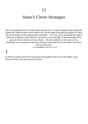# Satan's Clever Strategies

But if our gospel be hid, it is hid to them that are lost: in whom the god of this world hath blinded the minds of them which believe not, lest the light of the glorious gospel of Christ, who is the image of God, should shine unto them.…For God, who commanded the light to shine out of darkness, hath shined in our hearts, to give the light of the knowledge of the glory of God in the face of Jesus Christ.…We are troubled on every side, yet not distressed; we are perplexed, but not in despair; persecuted, but not forsaken; cast down, but not destroyed.

—2 Corinthians 4:3–4, 6, 8–9

# $\mathsf T$

he Devil is seldom seen in his movements and methods. He has the rare ability to get others to do his work and execute his plans.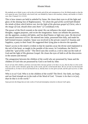# Blinded Minds

His methods are to blind, to put a veil on the evil results and all the sad consequences of sin. He blinds people so that the evil cannot be seen. Even David, who loved God, was blinded by Satan to the treachery, infamy, and murder in Uriah's case. (See 2 Samuel 11:2–12:10.)

This is how sinners are held in unbelief by Satan. He closes their eyes to all the light and glory of the shining Son of Righteousness. *"In whom the god of this world hath blinded the minds of them which believe not, lest the light of the glorious gospel of Christ, who is the image of God, should shine unto them"* (2 Corinthians 4:4).

The power of the Devil extends to the mind. He can influence the mind, insinuate thoughts, suggest purposes, and excite the imagination. Satan can inflame the passions, stir the appetites, awaken old habits, and fan dead flames or light new ones. He deceived the natural innocence of Eve. He entered into Judas, possessed him fully, and made his half-formed treason complete. Satan was involved in the private council of Ananias and Sapphira, a party to their fraud. He suggested their lying plan to deceive the apostles.

Satan's access to the mind is evident in that he snatches away the divine seed implanted in the soil of the heart, as taught in the parable of the sower. In Corinthians, the Devil is called the *"god of this world."* The Devil uses this world as a veil to shut out the truth of God and the light of His glorious Gospel. He closes the eyes of faith to all the discoveries in the unseen and eternal.

The antagonism between the children of the world who are possessed by Satan and the children of God who are possessed by God is set forth by John:

Ye are of God, little children, and have overcome them: because greater is he that is in you, than he that is in the world. They are of the world: therefore speak they of the world, and the world heareth them. We are of God: he that knoweth God heareth us: he that is not of God heareth not us. Hereby know we the spirit of truth, and the spirit of error. (1 John 4:4–6)

Who is in us? God. Who is in the children of the world? The Devil. Our faith, our hope, and our final triumph are in the truth of the Word of God. *"Greater is he that is in* [us], *than he that is in the world."*

Satan perverts the things that are truly works of God and misemploys miracles to obscure God's glory.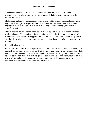The Devil often tries to break the soul down and reduce it to despair. In order to discourage us, he tells us that we will never succeed, that the way is too hard and the burden too heavy.

He takes advantage of weak, distracted nerves and suggests fears. Grace is hidden from sight, shortcomings are magnified, and weaknesses are classed as gross sins. Sometimes the fear of death is used by Satan to quench the fire of faith, and the grave becomes something awful.

He darkens the future. Heaven and God are hidden by a thick veil of tomorrow's cares, trials, and needs. The imaginary disasters, failures, and evils of the future are powerful weapons in Satan's hand. He suggests that the Lord is a hard master and that His promises will fail. He works on the corruption that remains in the heart and raises a great storm in the soul.

Samuel Rutherford said,

Oh, if our faith could ride out against the high and proud waves and winds when our sea seemeth all on fire! Oh, how oft do I let my grips go. I am put to swimming and half sinking. I find the Devil hath the advantage in this battle, for he fighteth in known ground for our corruption. However matters go, it is our happiness to win new grounds daily in Christ's love and to add conquest to conquest until our Lord Jesus and we are so near each other that Satan cannot draw a straw or a thread between us.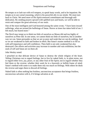He tempts us to lash out with evil tempers, to speak hasty words, and to be impatient. He tempts us to use carnal reasoning, which is his powerful ally in our minds. We must turn back to Christ. We need more of His Spirit-renewed commitment and thorough selfdedication. By sending prayers upward with uplifted eyes and hearts, we will be able to resist and conquer the great adversary of our souls.

One of the most intelligent and God-honored among the saints wrote, "I have keen inward sufferings, what are termed the buffetings of Satan. Horror at times has taken hold of me. I felt much, but feared more."

The Devil may tempt us to think too little of ourselves as Moses did and too highly of ourselves as Peter did. In one sense, we cannot think too little of ourselves, but in another way we can. Satan persuades us that we are so poor and weak that we can do nothing. And so we are weakened in faith and broken in effort. But Satan's master method is to fill us with self-importance and self-confidence. Then faith is not only weakened but also destroyed. Our efforts and activities may increase in number and vain exhibition, but the seals of self and Satan are on them all.

John Wesley noted:

I preached on that delicate device of Satan to destroy the whole religion of the heart. Telling Christians not to regard feelings, but to live by naked faith, is, in plain terms, not to regard either love, joy, peace, or any other fruit of the Spirit; not to regard whether they feel them or the reverse; whether their souls be in a heavenly or hellish frame of mind. Satan's method with some is to make them rely too much on feelings. With others he deals the reverse and urges them to discard all feelings.

Naked faith is often nothing but fruitless, unconscious acceptance that brings fruitless, unconscious salvation with it, if it brings salvation at all.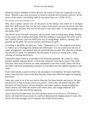Whatever Satan's methods or clever devices, the words of Jesus, his conqueror, to us are these: *"Behold, I give unto you power to tread on serpents and scorpions, and over all the power of the enemy: and nothing shall by any means hurt you"* (Luke 10:19).

Miss Havergal wrote concerning these verses,

Why, this is grand—power over all the power of the Enemy. Just where he is strongest there they shall prevail. Not over the very center of his power, not over his power here and there, nor now and then, but over all his power. And Jesus said, "Is not that enough to go into battle with?"

The Devil's brain is prolific with plans. He has many ways of doing many things. Perhaps he has many ways of doing each thing. With him nothing is stereotyped. He never runs in ruts. Fruitful, diverse, and ever fresh is his way of doing things. Indirect, cunning, and graceful are his plans. He acts by trickery, and always by guile.

According to the Bible, his plans are *"wiles"* (Ephesians 6:11). The original word means to "follow up or investigate by method and settled plan." It is not a bad word, but one of order, arrangement, and methods that are conceived and executed. But when the word gets into the Devil's hand, it is defined by his dictionary. It receives a strong stain, a deep coloring of cunning and trickery.

Sometimes Satan comes to us disrobed of his heavenly garments. He comes as a sharp, pointed, painful, poisoned thorn—a thorn that cannot be extracted by prayer. The saints who have seen most of heaven are often summoned to see most of hell. Saints who have the fullest and most transporting revelation of God often have the saddest experience with Satan.

Paul's thorn meant as much to Paul as his abundance of revelations. His thorn made him more a saint than his vision of the third heavens. Satan only lifted him higher by keeping him lower.

Satan may come to us in his own native character, the thorn-breeder and piercer. He may put thorns in us that no prayer power can extract—thorns that will poison and pain. But the thorn will enrich grace, increase humility, and make weakness strong and glorious. Satan's thorns will clothe necessities with richest attire, and change distresses and persecutions into the most divine pleasures.

Satan's thorns will make room for God's greatest power in us and on us. The Enemy's thorns will make the lowest point of a spiritual depression the highest point of vision. His thorns will make strength out of weakness and wealth out of poverty.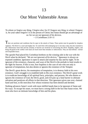# Our Most Vulnerable Areas

To whom ye forgive any thing, I forgive also: for if I forgave any thing, to whom I forgave it, for your sakes forgave I it in the person of Christ; lest Satan should get an advantage of us: for we are not ignorant of his devices.

—2 Corinthians 2:10–11

There are positions and conditions that lie open to the attacks of Satan. These points must be guarded by sleepless vigilance. The Devil is a cruel and mighty foe. To watch him with unsleeping eye is not only a duty, but also essential to life. Deliverance from hell and the certainty of heaven are involved in overcoming the Devil. Stupidity, neglect, and being off guard in the conflict with Satan are much more than mistakes or indiscretions. They are fatal defeats—eternal

The apostle Paul placed his Corinthian brethren on the winning side in the war with the Devil when he declared, *"We are not ignorant of his devices."* Ignorance is always an exposed condition. Ignorance is open to attack and surprise by day and by night. To be ignorant of the existence, character, and ways of the Devil is the prelude to fatal results in the fight for heaven. If this is true, how hopeless is the case of one who not only is ignorant of temptations, but also denies or ignores the existence of the Tempter.

and irreparable losses.

The Devil's great device, his masterpiece of temptation, is to destroy faith in his own existence. God's struggle is to establish faith in His own existence. The Devil's great work is to eradicate knowledge of all spiritual facts, principles, and persons. He who denies or ignores the existence of God, the Devil, good, and evil puts up a fatal barrier to ultimate salvation and paralyzes all efforts in that direction. This ignorance gives one over, chained hand and foot, to the merciless Foe whose existence has been denied and derided.

Nothing advances Satan's work with more skillful hands than to be ignorant of Satan and his ways. To escape his snare, we must have a strong faith in the fact that Satan exists. We must also have an intimate knowledge of him and his plans.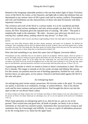Related to the foregoing vulnerable position is the one that makes light of Satan. Frivolous views of the Devil, his works, or his character, and light talk or jokes that dishonor him are detrimental to any serious views of life's great work and its serious conflicts. Presumption, self-will, and foolishness are the characteristics of those who deal frivolously with these important concerns.

The existence and work of the Devil is a serious matter. It is to be considered and dealt with from the most serious standpoint, and only serious people can deal with it. For this reason, the New Testament gives the repeated note of warning, *"Be sober."* The point is emphatically made in the statement, *"Be sober…because your adversary the devil, as a roaring lion, walketh about, seeking whom he may devour"* (1 Peter 5:8).

Related to this attitude is Jude's incisive and almost rough handling of those who make light of sacred things and sacred persons:

Likewise also these filthy dreamers defile the flesh, despise dominion, and speak evil of dignities. Yet Michael the archangel, when contending with the devil he disputed about the body of Moses, durst not bring against him a railing accusation, but said, The Lord rebuke thee. But these speak evil of those things which they know not: but what they know *naturally, as brute beasts, in those things they corrupt themselves.*(Jude 8–10)

Peter also had something to say about this same class of flippant, irreverent talkers:

Presumptuous are they, selfwilled, they are not afraid to speak evil of dignities. Whereas angels, which are greater in power and might, bring not railing accusation against them before the Lord. But these, as natural brute beasts, made to be taken and destroyed, speak evil of the things that they understand not; and shall utterly perish in their own corruption; and shall receive the reward of unrighteous-ness, as they that count it pleasure to riot in the day time. Spots *they are and blemishes, sporting themselves with their own deceivings while they feast with you.* (2 Peter 2:10–13)

A paralyzing attitude in which we remain to listen to Satan's insinuations is fatal. This was Eve's mistake. His tongue is smooth as oil; his words circulate and inflame like poison. For this reason, our position must be one of bristling opposition, fortified for war, with no barriers down, no open gates, no low places. Fenced in and barricaded against the Devil is the only safe place.

#### An Unforgiving Spirit

An unforgiving spirit invites satanic possession. His favorite realm is the spirit. To corrupt our spirits, to provoke us to retaliation, revenge, or unmercifulness—that is his chosen work and his most common and successful device. Paul brought this device out into the open so that we can thwart Satan's plans.

To whom ye forgive any thing, I forgive also: for if I forgave any thing, to whom I forgave it, for your sakes forgave I it in the person of Christ; lest Satan should get an advantage of us: for we are not ignorant of his devices.(2 Corinthians 2:10–11)

When Satan generates an unforgiving spirit in us, then he has us, and we are on his ground. Then wicked men and good men, all kinds of people, are likely to do us harm, sometimes at vital and very sensitive points. Sometimes they unconsciously wrong us and sometimes they do it knowingly and willfully. As soon as a spirit of unkindness possesses us for the wrong done to us, Satan has the upper hand.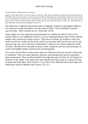#### Oaths and Swearing

Let me quote the warning words of our Savior:

Again, ye have heard that it was said to them of old time, Thou shalt not forswear thyself, but shalt perform unto the Lord thine oaths: but I say unto you, Swear not at all; neither by the heaven, for it is the throne of God; nor by the earth, for it is the footstool of his feet; nor by Jerusalem, for it is the city of the great King. Neither shalt thou swear by thy head, for thou canst not make one hair white or black. But let your speech be, Yea, yea; Nay, nay: and whatsoever is *more than these is of the evil one.* (Matthew 5:33–37 rv)

The injunction is against using strong oaths in language. Expletives and appeals added to our words are wrong and expose us to the snare of Satan. *"In the multitude of words,"* says Proverbs, *"there wanteth not sin"* (Proverbs 10:19).

Satan tempts us to use assertions and declarations to confirm the truth of what we are saying. When we use additional words as a way of substantiating the truth of those already spoken, they expose us to Satan's power. *"But above all things, my brethren, swear not, neither by heaven, neither by the earth, neither by any other oath: but let your yea be yea; and your nay, nay; lest ye fall into condemnation"* (James 5:12). James sealed the words of Christ. The Devil lies concealed in many words. Simplicity, brevity, and seriousness of words will mightily hinder and thwart his ensnaring plans.

It is so easy for the Devil to stop us just short of a faith that will save, because of this type of wordiness. There are many speeches, prefaces, and introductions that are sometimes quite monotonous. They are often headed in the right direction, but they do not bring us to the heart of the matter. Like Sarah, they start with the full intent to go to Canaan, but stop at Haran and dwell there. (See Genesis 11:31.) Like Jacob, Shechem slows their steps and holds them instead of Bethel. (See Genesis 35:1–6.)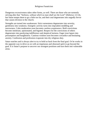Dangerous excessiveness takes other forms, as well. There are those who are earnestly striving after that *"holiness, without which no man shall see the Lord"* (Hebrews 12:14), but Satan tempts them to go a little too far, and their zeal degenerates into ungodly fervor that causes division in the church.

Strengths are turned into weaknesses: Strict earnestness degenerates into severity, gentleness into weakness. Energetic activity turns into imprudent meddling and narrowness. Calm moderation soon becomes careless acquiesence. Bold convictions become intolerant, opinionated, and bigoted. Respect for the convictions of others degenerates into paralyzing indifference and skeptical laziness. Eager trust lapses into presumption and haughtiness. Cautious wisdom soon becomes cowardice and hesitating anxiety. Confession and profession evaporate into dry religious duty.

Satan watches and is always alert to try to hold us back from the final goal. Or he works in the opposite way to drive us on with an impetuous and obsessed spirit to go beyond the goal. It is Satan's purpose to uncover our strongest positions and turn them into vulnerable areas.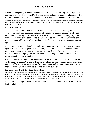Becoming unequally yoked with unbelievers in intimate and confiding friendships creates exposed positions of which the Devil takes great advantage. Partnership in business or the more sacred union of marriage with unbelievers is perilous to the believer in Jesus Christ.

Be ye not unequally yoked together with unbelievers: for what fellowship hath righteousness with unrighteousness? and what communion hath light with darkness? And what concord hath Christ with Belial? or what part hath he that *believeth with an infidel?*

(2 Corinthians 6:14–15)

Satan is called *"Belial,"* which means someone who is worthless, contemptible, and wicked. He and Christ cannot be joined in agreement. No unequal yoking, no fellowship, no communion, no agreement can exist. The result is contamination and impurity. The fruit of these voluntary close yokings is a weakened spiritual condition. Under the law, an ox and an ass could not be yoked together. Under the Spirit, Christ and Satan can have no agreements.

Separation, cleansing, and perfected holiness are necessary to secure the vantage ground against Satan. The Bible gives strong, explicit, and comprehensive commands against union, communion, or intimate association with unbelievers. For those unequally yoked there can be no pulling together, no fellowship, no sharing, no communion, no intimacy, no agreement, no voting together.

Commentators have found in the above verses from 2 Corinthians, Paul's fine command of the Greek language. We find in them the fire of fervent and profound convictions. They demand self-denying abstinence from forming intimate and voluntary associations with the unbelieving world in business, pleasure, or social pursuits.

Paul laid down this rule in his first epistle to the Corinthians:

I wrote unto you in an epistle not to company with fornicators: yet not altogether with the fornicators of this world, or with the covetous, or extortioners, or with idolaters; for then must ye needs go out of the world. But now I have written unto you not to keep company, if any man that is called a brother be a fornicator, or covetous, or an idolater, or a railer, *or a drunkard, or an extortioner; with such an one no not to eat.*(1 Corinthians 5:9–11)

Paul is not objecting to casual, courteous Christian conversation but to more intimate and lasting relationships.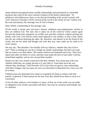James defined and opposed these worldly relationships and attachments as vulnerable positions that result in the most criminal violation of the holiest relationship. *"Ye adulterers and adulteresses, know ye not that the friendship of the world is enmity with God? whosoever therefore will be a friend of the world is the enemy of God"* (James 4:4). By such associations, the marriage vow of God is broken.

Dean Alford, commenting on this passage, said,

Of the world, it means men and men's interest, ambitions and employments, insofar as they are without God. The man who is taken out of the world by Christ cannot again become the friend and companion of worldly men and their schemes, without passing into enmity with God. God and the world stand opposed to one another, so that a man cannot join the one without deserting the other. He, therefore, who desires to be the friend of the world, and sets his mind and thought and wish that way, must make up his mind to be God's enemy.

We may ask, "But shouldn't I be friendly with my relatives, whether they fear God or not?" There is nothing we can do to change our family relationships, but there are some that are nearer to us than others. The nearest relatives are husbands and wives. They have taken each other for better or worse, and they must make the best of each other. God has joined them together, and no one can put them asunder.

Parents are also very closely connected with their children. You cannot part with your children while they are young, because it is your duty to "train them up in the way wherein they should go." (See Proverbs 22:6.) Once they are grown, your relationship with them changes, and you must use your own discretion to determine how close you will be to them.

Children must also determine how long it is expedient for them to remain with their parents. In general, if their parents do not fear God, they should leave them as soon as is convenient.

As for all other relatives, even brothers or sisters, if they are of the world, you are under no obligation to be closely associated with them. You may be courteous and friendly, but at a distance.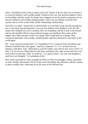#### The Only Escape

Since *"friendship of the world is enmity with God"* (James 4:4), the only way to heaven is to avoid all intimacy with worldly people. Whatever the cost, flee spiritual adultery! Have no friendship with the world. No matter how tempted you are by profit or pleasure, do not become intimate with worldly-minded people. And if you are already involved with anyone who is of the world, break off the relationship without delay.

Your life is at stake—eternal life or eternal death. Is it not better to go into life having one eye or one hand, than having both, to be cast into hellfire? (See Matthew 5:29–30.) No matter how tempted you are to continue, have no friendship with the world. Look around and see the dreadful effects it has produced among your brethren! How many of the mighty have fallen because of this very thing! They would heed no warning. They conversed intimately with worldly- minded people until they themselves were back in the world again.

Oh, *"come out from among them"*! (2 Corinthians 6:17). Come out from all unholy men, however harmless they may appear, *"and be ye separate"* (v. 17)—at least have no intimacy with them. Your *"fellowship is with the Father, and with his Son Jesus Christ"* (1 John 1:3). So let your fellowship be with those, and those only, who at least seek the Lord Jesus Christ in sincerity. Then *"ye shall be,"* in a special sense, *"my sons and daughters, saith the Lord Almighty"* (2 Corinthians 6:18).

How Satan surrounds us! How strongly he holds us! How he entangles, chains, and binds us with worldly associations! We lie in the sweet friendship, the embraces, and the counsel of these worldly ones, while they lie in the arms of the Wicked One.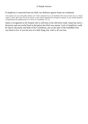If simplicity is removed from our faith, our defenses against Satan are weakened.

I am jealous over you with godly jealousy: for I have espoused you to one husband, that I may present you as a chaste virgin to Christ. But I fear, lest by any means, as the serpent beguiled Eve through his subtlety, so your minds should be *corrupted from the simplicity that is in Christ.* (2 Corinthians 11:2–3)

Satan is recognized as the Serpent who is still busy at his old tricky trade. Satan has such a dexterous and successful hand at deception that Paul was uneasy. Lack of simplicity could be fatal to the purity and faith of the Corinthians, just as the taste of the forbidden fruit was fatal to Eve. It was the loss of a little thing, but, with it, all was lost.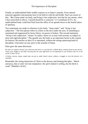Finally, an undisciplined body readily exposes us to Satan's assaults. Even natural, innocent appetites and passions have to be held in with bit and bridle. Paul was aware of this: *"But I keep under my body, and bring it into subjection: lest that by any means, when I have preached to others, I myself should be a castaway"* (1 Corinthians 9:27). An undisciplined body could hurl Paul from the office of an apostle down to the fearful abyss of apostasy.

Two statements are made in reference to his body: *"keep under"* and *"bring it into subjection."* The first phrase refers to a blow to the face under the eyes. If something is restrained and suppressed by heavy blows, its power is broken. The second statement, *"bring it into subjection,"* means "to make a slave of, to treat with severity, to subject to stern and rigid discipline." The apostle saw the body as an important factor in the contest for heaven. He teaches us that if it is untrained, without the strong repressing hand of discipline, it becomes an easy prey to the assaults of Satan.

#### Peter gave the same directions:

Be sober, be vigilant: because your adversary the devil, as a roaring lion, walketh about, seeking whom he may devour: whom resist stedfast in the faith, knowing that the same afflictions are accomplished in your brethren that are in the *world.* (1 Peter 5:8–9)

A listless, drowsy, sleepy, stupid state can put us under Satan's power without a struggle or even the decency of a surrender.

Remember the strong injunction of Christ to the drowsy and fainting disciples: *"Watch and pray, that ye enter not into temptation: the spirit indeed is willing, but the flesh is weak"* (Matthew 26:41).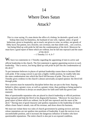# Where Does Satan Attack?

This is a true saying, If a man desire the office of a bishop, he desireth a good work. A bishop then must be blameless, the husband of one wife, vigilant, sober, of good behaviour, given to hospitality, apt to teach; not given to wine, no striker, not greedy of filthy lucre; but patient, not a brawler, not covetous; one that ruleth well,…not a novice, lest being lifted up with pride he fall into the condemnation of the devil. Moreover he must have a good report of them which are without; lest he fall into reproach and the snare of the devil.

—1 Timothy 3:1–4, 6–7

 $\mathbf{W}_{\mathsf{e}}$  have two statements in 1 Timothy regarding the appointing of men to active and official leadership in the church. The first statement is against appointing novices to such leadership. *"Not a novice, lest being lifted up with pride he fall into the condemnation of the devil."*

To put immature believers in places of spiritual leadership causes them to become filled with pride. If the young convert is put into a highly visible position, he readily falls into the same condemnation into which the Devil fell because of pride. This text from 1 Timothy gives credence to the church's almost universally accepted opinion: the Devil fell through pride.

New converts must be matured by discipline before they are put to the front. Staying behind is often a greater cross, as well as a greater virtue, than pushing or being pushed to the front. The forefront is always an unsafe place for faith until faith has grown and matured.

Men of questionable reputation who are placed in church leadership or official positions bring reproach and help the Devil in his disgraceful business. *"Moreover he must have a good report of them which are without; lest he fall into reproach and the snare of the devil."* Having men of good character and spotless reputation in the leadership of church affairs closes Satan's mouth, cuts off his revenue, and slows down his business.

We must not violate these two rules of church government by putting novices and men whose reputations are not spotless into positions of leadership. It puts the novices in an uncomfortable position, and it increases the dangerous influence of leaders who have questionable reputations. The entire church is also put in an exposed condition,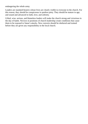endangering the whole army.

Leaders are standard-bearers whose lives are clearly visible to everyone in the church. For this reason, they should be conspicuous in spotless piety. They should be mature in age; and sound and advanced in faith, love, and sobriety.

Gifted, wise, serious, and blameless leaders will make the church strong and victorious in the day of battle. Novices in positions of church leadership create conditions that cause them to be exposed to Satan's attacks. New converts should be sheltered and trained before they are given any responsibility in the local church.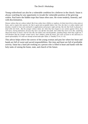Young widowhood can also be a vulnerable condition for a believer in the church. Satan is always watching for any opportunity to invade the vulnerable position of the grieving widow. Paul knew the hidden traps that Satan often uses. He wrote tenderly, honestly, and with discrimination,

Honour widows that are widows indeed. But if any widow have children or nephews, let them learn first to show piety at home, and to requite their parents: for that is good and acceptable before God. Now she that is a widow indeed, and desolate, trusteth in God, and continueth in supplications and prayers night and day. But she that liveth in pleasure is dead while she liveth....But the younger widows refuse: for when they have begun to wax wanton against Christ, they will marry; having damnation, because they have cast off their first faith. And withal they learn to be idle, wandering about from house to house; and not only idle, but tattlers also and busybodies, speaking things which they ought not. I will therefore that the younger women marry, bear children, guide the house, give none occasion to the adversary to *speak reproachfully. For some are already turned aside after Satan.* (1 Timothy 5:3–6; 11–15)

This advice helps relieve the sorrow of the young woman and puts her where her heart and hands are full of sweet and sacred responsibilities. Her time and heart are full of profitable activity. Satan has a hard job working on a person who is filled in heart and hands with the holy tasks of raising the home, state, and church of the future.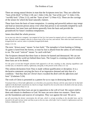There are strong natural desires in man that the Scriptures term *lust.* They are called the *"lusts of the flesh"* (2 Peter 2:18; see 1 John 2:16), the *"lust of the eyes"* (1 John 2:16), *"worldly lusts"* (Titus 2:12), and the *"lusts of men"* (1 Peter 4:2). These are the cravings of the senses for which the heart naturally clamors.

These lusts form the basis of inner temptation. A cunning and powerful seducer may tempt and lead an innocent person astray even when that person is not normally tempted by such allurements, but inner lusts and desires generally form the basis and provide the groundwork for Satan's insidious temptations.

James described the whole process:

Let no man say when he is tempted, I am tempted of God: for God cannot be tempted with evil, neither tempteth he any man: but every man is tempted, when he is drawn away of his own lust, and enticed. Then when lust hath conceived, it *bringeth forth sin: and sin, when it is finished, bringeth forth death.*

(James 1:13–15)

The term *"drawn away"* means "to lure forth." The metaphor is from hunting or fishing. As game is lured from the forests, so man by lust is allured from the safety of self-restraint to sin. The word *"enticed"* means "to catch with bait."

The Scriptures demand that these lusts or desires be banned and denounced. We can see how Satan and the world are behind these lusts. The Gospel is a training school in which these lusts are to be denied.

For the grace of God that bringeth salvation hath appeared to all men, teaching us that, denying ungodliness and *worldly lusts, we should live soberly, righteously, and godly, in this present world.* (Titus 2:11–12)

This solemn declaration from Titus is made without qualification or deception. It is a declarative statement carrying the force of an imperative demand and also that of a condition: *"And they that are Christ's have crucified the flesh with the affections and lusts"* (Galatians 5:24).

The work of Christ is presented as a pattern for us to copy in destroying these lusts:

Forasmuch then as Christ hath suffered for us in the flesh, arm yourselves likewise with the same mind: for he that hath suffered in the flesh hath ceased from sin; that he no longer should live the rest of his time in the flesh to the lusts of men, *but to the will of God.*(1 Peter 4:1–2)

We are taught that these lusts are put in opposition to the will of God. We cannot yield to them and remain in obedience to God. No man can serve these two masters. These lusts are the foundations and sources of corruption. They war against the soul. We are to

put off concerning the former conversation the old man, which is corrupt according to the deceitful lusts; and be renewed in the spirit of your mind; and that ye put on the new man, which after God is created in righteousness and true *holiness.* (Ephesians 4:22–24)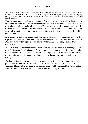#### A Weakened Position

The war with Satan is concerned with these lusts. This lusting after the pleasures of the senses is not completely destroyed when we are converted to Christ. It is broken in power and weakened, but the remains, the roots, are still there. Like a tree in life, cut down at its stump, it sends up many shoots. If we allow these shoots to remain, they will help Satan in his work.

Those who are content to leave the remains of these lusts inside them will be hampered by an internal struggle. To allow sin or the tendency to sin to remain in us is fatal. It is as fatal as leaving the original natives in the land of Canaan was to the piety, peace, and prosperity of Israel. God's command to Israel was that those nations were to be destroyed completely so as to leave neither root nor branch. Israel's failure to do this was the source of untold evil for them.

Any remaining lusts are exposed conditions just as the remains of a decayed tooth are the exposed conditions of a toothache. So we are challenged, *"For if ye live after the flesh, ye shall die: but if ye through the Spirit do mortify the deeds of the body, ye shall live"* (Romans 8:13).

In another text, we have these words: *"They that are Christ's have crucified the flesh with the affections and lusts"* (Galatians 5:24). *"Lust"* is the larger word in Scripture, including the whole world of active lusts and desires. The *"affections"* are not so much the soul's disease in its more active operations, but the diseased conditions out of which these spring.

The lusts spring from the passions and are nourished by them. They deserve the same punishment as the flesh. All of these—the flesh, the lusts, and the affections—are crucified. This puts the Christian in the best fortified condition to resist the attacks of the Devil. If these lusts remain, he is only half armed and wholly exposed.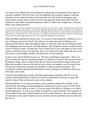Low aims in the spiritual life and satisfaction with present circumstances also create an exposed condition. The Devil may visit the highlands and mountain ranges of spiritual elevation, but he makes his home in the lowlands. He will attack the strongest, most mature giant of piety, but he works his havoc and gains his spoils where the Christian slumbers in the cradle of spiritual babyhood. There is safety only in high aims, strenuous effort, and constant advance.

It is on the field of low aims and satisfied results that the Devil wins his chief victories. Spiritual growth, along with constant and sure spiritual development, are the surest safeguards against Satan's assaults and surprises. Constant growth keeps our eyes open and our hearts strong. Satan never finds growth asleep, drowsy, or weak. Onward and upward is the great battle cry. Constant advance is the steel armor in the fight with the Devil. Israel lost Canaan by not possessing Canaan. Satan has the vantage ground when we do not maintain an aggressive forward march.

When the Bible sounded the clarion call, *"Let us go on unto perfection"* (Hebrews 6:1), it was seeking to arouse the church. The believers to whom the book of Hebrews was addressed had lost the vigor and fighting ability of Christian character by feeding on milk and indulging in the lazy luxury of being children. The Scriptures raised a standard and set a goal for them to attain. The goal line was far ahead, but it was a real point, as real as the point at which their steps were delayed. They were called out of the cradle and away from the nursery to the strength, conflict, and perfection of royal maturity.

A great writer said of Wesley that he was "the first of theological statesmen." This is no great compliment. But the spiritual perception of Wesley as a man of open, divine vision is his highest eulogy. This is evidenced by the fact that he reechoed the trumpet call of the Bible and sounded it on every key and in every refrain. He sought to stir the church into forward movement and to quicken its members to seek an advanced position. The yearning for spiritual growth had diminished in their experience and had been left out of their hopes and creeds.

God gives the beginnings of faith, and these beginnings are glorious. But for us to be content with the beginnings of faith is to forfeit its possibilities and leave us open and naked to Satan. Then we become a prey to his schemes.

Making additions to our spiritual treasury is the essential condition for stability in the Christian life. Retaining and maintaining this stability gives great victory over the Devil. To stand still in our faith is to lose it. To set up camp at the place of salvation is to forfeit regenerating grace. To stop at any station of progress is to go backward. The weakness of most people is their lack of determination to stick to their objective. We are willing to pay the personal cost for great temporal success, but the price for spiritual success is often too dear for us.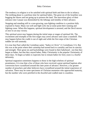#### Baby Christians

The tendency in religion is to be satisfied with spiritual birth and then to die in infancy. The teething phase is a perilous time for spiritual babes. The great sin of the Israelites was hugging the shores and not going up to possess the land. The marvelous glory of their entrance into Canaan was diminished by the lethargy and timidity of their advance.

Stopping and standing still in a non-growing, non-fighting condition is a position fully exposed to Satan. Many run well and fight well, but at some point their running and fighting cease. When this happens, spiritual development is arrested, and the Devil moves at once to an easy victory.

This spiritual arrest may happen during the initial steps or stages of spiritual life. The excitement and triumphs of the first stages may arrest advance and cause a standstill. This may happen before the cradle is out of sight and while the first steps of the Christian toddler are still unsteady.

It is true that Paul called the Corinthian saints *"babes in Christ"* (1 Corinthians 3:1). But this was at the point where their saintship had turned back to carnality and lost its sanctity and strength. Their great sin and backslidings were found in their babyhood—not that they began as babes, but that they stayed babes. Baby Christianity is the popular Christianity of these days. To begin as babes is expected, but to remain babes for forty years is a fearful deformity.

Spiritual stagnation sometimes happens to those in the high echelons of spiritual prominence. It is true that a few of those who have received a great spiritual baptism after conversion have crystallized around this later point of advance. However, a far greater number of preachers and other believers have crystallized around the initial experience of salvation. There may be some specimens of Christian mummies who approached maturity, but the number who were petrified in the dwarfed and cradled state is countless.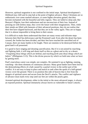#### Spiritual Stagnation

However, spiritual stagnation is not confined to the initial steps. Spiritual development's lifeblood may chill and its step halt at the point of highest advance. Many Christians are so enthusiastic over some marked advance, or some higher elevation gained, that they become enchanted with the beautiful and lofty regions. They are lulled to sleep and, like Bunyan's Pilgrim, lose their enthusiasm and are unconscious of their loss. Instead of pressing on with tireless steps, they cover the future with their imaginations. Then, while their minds are filled with fantasies of their advanced positions, they do not realize that their feet have slipped backward, and that they are in the valley again. They are so happy that it is almost impossible to bring them to their senses.

It is difficult to make them understand that there are many weary and toilsome steps between their Red Sea deliverance and the Promised Land. Even after the desert has been crossed, the Jordon has been divided, and their feet have touched the sanctified soil of Canaan, there are many battles to be fought. There are enemies to be destroyed before the good land is all possessed.

It is good to have singing and shouting sanctification. But if it is not joined by marching and fighting faith, it will sing and shout itself as thin as a ghost and as dry as a desert. *"Forgetting those things which are behind, and reaching forth unto those things which are before"* (Philippians 3:13). This is the divine process by which we hold onto what we have by getting more.

Paul's marvelous career was simple, not complex. He summed it up as fighting, running, watching—the three elements of continuous advance. Many great battles have been lost by the demoralizing effects of a halt caused by a partial victory in the earlier part of the conflict. It is not easy to keep in place and march in rank when the spoils of a half-gained victory cover the ground. There is no position this side of heaven that is free from the dangers of spiritual arrest and secure from the Devil's attacks. The conflict and vigilance of advance must mark every step until our feet are within the pearly gates.

Arrested spiritual development, either in the initial or the more advanced stages, is always an exposed position. Spiritual immaturity always leaves us vulnerable to Satan's attacks.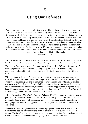### Using Our Defenses

And unto the angel of the church in Sardis write; These things saith he that hath the seven Spirits of God, and the seven stars; I know thy works, that thou hast a name that thou livest, and art dead. Be watchful, and strengthen the things which remain, that are ready to die: for I have not found thy works perfect before God. Remember therefore how thou hast received and heard, and hold fast, and repent. If therefore thou shalt not watch, I will come on thee as a thief, and thou shalt not know what hour I will come upon thee. Thou hast a few names even in Sardis which have not defiled their garments; and they shall walk with me in white: for they are worthy. He that overcometh, the same shall be clothed in white raiment; and I will not blot out his name out of the book of life, but I will confess his name before my Father, and before his angels.

—Revelation 3:1–5

Leave no room for the Devil. Be too busy for him. Have no time and no place for him. Vacant places invite him. The Devil loves a vacuum. A very busy person himself, he does his biggest business with those who have no business.

The apostle Paul, writing to the Ephesians, gave this direction: *"Neither give place to the devil"* (Ephesians 4:27). Leave no opening, no space for him. Keep him out by prepossession. Keep him out—nose, head, and all. Give him an inch, and he will take a mile.

"Give no place to the Devil." The apostle was writing about how anger can cause us to give full scope to the Devil. He comes into power and has full sway when we relinquish ourselves to the indulgence and continuance of evil passions. Our evil passions are the regions where Satan finds his favorite field and largest sphere of operation. Suppress evil and every tendency to indignation, bitterness, and wrath. Suppress and purge out every heated impulse, every unholy desire, every feeling that is not of God. The Devil's work is futile when gentleness and forgiveness reign in our spirits.

*"Resist the devil, and he will flee from you"* (James 4:7). This is James's curt directory for getting rid of the Devil. *"Resist"* means "to set one's self against, to withstand." Yield nothing to Satan at any point, but oppose him at every point. Always be against him, belonging to the party of the opposition as far as his plans, suggestions, and ways are concerned.

If we bravely and strongly resist what the Devil proposes, the victory is half won. To hesitate is to lose. To talk it over is to yield; to give an inch is to surrender the whole ground. The Devil cannot stand firmness, decision, and opposition. He is easily defeated if we are determined and uncompromising. Loyalty to God is ruin to Satan.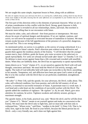We are taught this same simple, important lesson in Peter, along with an addition:

Be sober, be vigilant; because your adversary the devil, as a roaring lion, walketh about, seeking whom he may devour: whom resist stedfast in the faith, knowing that the same afflictions are accomplished in your brethren that are in the *world.* (1 Peter 5:8–9)

The first part of this direction refers to the elements of personal character. What we are is of prime consideration in this conflict with the Devil. Strong, good character is fully armed. Character is revealed in all our relationships, duties, and trials. But nowhere is character more telling than in our encounters with Satan.

We must be sober, calm, and collected—free from passion or intemperance. We must always be aware of spiritual dangers and deceptions. If we are vigilant, cautious, and active, we will never be surprised or overcome because of inattention or laziness. We must remain awake because of the full apprehension of the presence of a powerful, dangerous, and cruel Foe. This is our strong defense.

As mentioned earlier, no sorrow is so pathetic as the sorrow of young widowhood. It is a sorrow exposed to Satan's attacks. Paul's direction puts widows on the defensive and guards them against the insidious attacks of the Enemy. *"I will therefore that the younger women marry, bear children, guide the house, give none occasion to the adversary to speak reproachfully. For some are already turned aside after Satan"* (1 Timothy 5:14–15). No defense is more secure against Satan than a life crowned and crowded with unselfish duties. When they are faithfully done, the Devil has no opportunity to speak reproachfully.

James directs us to *"resist"* (James 4:7)—to set ourselves against the Devil with will and thought, conscience and heart. We must hold the Word of God strictly, strongly, and rigidly. The truth of God inflexibly held will make one invincible to the Devil, unyielding to his assaults. Temptation, toil, and affliction have been put upon God's saints in all ages. But it is by this warfare with the Devil that we are perfected, established, strengthened, and settled.

*"Be sober"* (1 Peter 5:8), said the apostle, for your adversary, the Devil, walks about. This calm, self-collected condition, free from passion, and with the full mastery of all our powers, is essential to successful resistance of Satan. A passionate man is a weak man. A cool head and a calm heart are the conditions of successful warfare with the Devil. The apostle added the condition of vigilance: "*Be vigilant"* (v. 8), he said. Watch, give strict attention, be cautious, be active. Vigilance awakens and sobriety arouses, giving us maximum strength.

The apostle James, in his frank, practical way, said, "*Resist the devil, and he will flee from you"* (James 4:7). *"Resist"* means to set yourself against and make no concession to the Enemy. We must meet the Devil only to fight him, and we must talk with him only to withstand him. *"Whom resist,"* said Peter, *"stedfast in the faith"* (1 Peter 5:9). That is, be solid, firm, rigid in the faith. Be fixed in your beliefs, because the liberal person has no Devil—only a very friendly one, and it does not fight against him.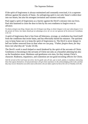If the spirit of forgiveness is always maintained and constantly exercised, it is a supreme defense against the attacks of Satan. An unforgiving spirit is not only Satan's widest door into our hearts, but also his strongest invitation and warmest welcome.

Paul urged a spirit of forgiveness as a barrier against the Devil's entrance into our lives. Paul also hastened to close the door to him by his own readiness to forgive even in advance.

To whom ye forgive any thing, I forgive also: for if I forgave any thing, to whom I forgave it, for your sakes forgave I it in the person of Christ; lest Satan should get an advantage of us: for we are not ignorant of his devices.(2 Corinthians 2:10–11)

A spirit of forgiveness that is free from all bitterness, revenge, or retaliation has freed itself from the conditions that invite Satan, and has effectually barred his entrance. The quickest way to keep Satan out is to keep the spirit of forgiveness in. The Devil is never deeper in hell nor farther removed from us than when we can pray, *"Father, forgive them; for they know not what they do"* (Luke 23:34).

The Devil's work is much helped or much hindered by the spirit of the servants of Christ. Gentleness is becoming to the servants of Christ not only as a beautiful adorning but also as the foundation stone. Meekness and gentleness win men, for they imitate Christ's character. Rudeness, impatience, and contention are not good recruiting officers for Christ.

And the servant of the Lord must not strive; but be gentle unto all men, apt to teach, patient, in meekness instructing those that oppose themselves; if God peradventure will give them repentance to the acknowledging of the truth; and that they may recover themselves out of the snare of the devil, who are taken captive by him at his will. (2 Timothy 2:24–26)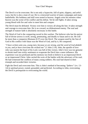The Devil is to be overcome. He is not only a hypocrite, full of quiet, slippery, and artful ways, but he is also a man of war. He is a renowned warrior of many campaigns and many battlefields. His boldness and skill were tested in heaven. Angels were his enemies when heaven was the scene of his conflict and his defeat. Yet he still fights. It takes strong young blood with fire and valor to meet him and conquer.

The Devil must be defeated. Victory over him is victory all along the line. It takes strength and courage to overcome him. He is no coward, no disheartened enemy. The zeal and strength of mature faith is absolutely necessary in this battle.

The Word of God is the conquering sword in this warfare. The believer who has his quiver full of divine arrows is swift, strong, penetrating, and deadly to Satan and to sin. He will be more than a conqueror (Romans 8:37) over the Devil. The weapon used by the Son of God in His conflict with Satan was the Word of God, and by it, He conquered.

*"I have written unto you, young men, because ye are strong, and the word of God abideth in you, and ye have overcome the wicked one"* (1 John 2:14). John, the apostle of love who was nearest the heart of his Lord, was full of this victory. John's love was too genuine to shrink itself into sickly sentiment or evaporate the Devil into a mere influence. His experience was too profound and his memory too fresh to believe in an impersonal Devil or an impersonal Christ. John carried the scars of the battles with the adversary of his soul. He had witnessed the conflicts of many young soldiers. His soul had shared in their triumph and recorded their victories.

Fight the Devil and overcome him. This is John's method of becoming *"fathers"* (vv. 13– 14) in spiritual power, rooted, grounded, and perfected. According to John, overcoming the Devil is prerequisite to overcoming the world.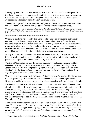#### The Safest Place

The mighty new-birth experience makes a man watchful like a sentinel at his post. When the Enemy in power is massed in the front, the believer is like a watchman. He stands on the walls of the beleaguered city like a guard over a royal prisoner. This keeping and guarding himself is safety against Satan's inflaming touch.

The faithful, vigilant Christian keeps himself pure, and Satan comes and finds nothing in him. (See John 14:30.) Every vantage point is barred and sleeplessly watched.

We know that whosoever is born of God sinneth not; but he that is begotten of God keepeth himself, and that wicked one toucheth him not. And we know that we are of God, and the whole world lieth in wickedness ["the evil one," rv].(1 John 5:18–19)

"Keeping ourselves" is the surest pledge that Satan will not keep us.

"Watch" is the keynote of safety. The Devil works on us with a thousand instruments, comes to us in a thousand ways, administers a thousand rebukes, and assaults by a thousand surprises. Watchfulness at all times is our only safety. We must not remain wide awake only when we see his form and fear his presence, but we must also remain wide awake to see him when he is not to be seen. We must repel him when he comes with any one of his ten thousand disguises—this is our wisest and safest course.

No cry of alarm is so frequent in the New Testament as the call to watch. No call hurts Satan so vitally or defeats him so readily as the call to watch. Being on the watchtower prevents all surprises and is essential to victory at all times.

The Son of God makes this call the keynote in many of His teachings. It is a call to be sleepless, to be vigilant, to be always ready. It is an image drawn from shepherds. In Jacob's indignant defense and protest against Laban, we see the image of the watchful shepherd: *"In the day the drought consumed me, and the frost by night; and my sleep departed from mine eyes"* (Genesis 31:40).

To watch is to be opposed to all listlessness. It implies a wakeful state as if in the presence of some great danger. It is a cautious state untouched by any slumbering influence. Drowsiness and bewilderment are gone. It quickens us against laziness and spiritual sloth.

Read how the church at Sardis was called to the exercise of watchfulness. She was put to sleep by the dulling effects of a fancy church exterior and a proper religious structure. (See Revelation 3:1–6.) The Ephesian church was advised to combine watching with persevering prayer (Ephesians 6:18). The Corinthian church was urged to watch and stand fast (1 Corinthians 16:13). The Colossians were exhorted to *"continue in prayer, and watch in the same"* (Colossians 4:2). The Thessalonians were to *"watch and be sober"* (1 Thessalonians 5:6).

Timothy, the young preacher, was to *"watch…in all things"* (2 Timothy 4:5). Peter's call was, *"Be ye therefore sober, and watch unto prayer,"* because the solemn end of all things is quickly approaching (1 Peter 4:7). Again he said, *"Be sober, be vigilant; because your adversary the devil, as a roaring lion, walketh about, seeking whom he might devour"* (1 Peter 5:8).

In Revelation we have the startling call, *"Behold, I come as a thief. Blessed is he that*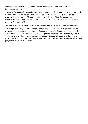*watcheth, and keepeth his garments, lest he walk naked, and they see his shame"* (Revelation 16:15).

The most frequent call to watchfulness was from our Lord. He said, *"Watch, therefore; for ye know not what hour your Lord doth come"* (Matthew 24:42). Again He called us to exercise this great grace: *"Watch therefore, for ye know neither the day nor the hour wherein the Son of man cometh"* (Matthew 25:13). Repeatedly, He calls us to *"watch ye therefore"* (Mark 13:35).

The herald cry and the trumpet call from Him to us is to be awake—to be fully awake, to be tremendously awake.

*"Watch ye therefore, and pray always, that ye may be accounted worthy to escape all these things that shall come to pass, and to stand before the Son of man"* (Luke 21:36). *"Watch and pray"* (Matthew 26:41), He charged His disciples, and so He charges us to *"watch and pray, that ye enter not into temptation: the spirit indeed is willing, but the flesh is weak"* (v. 41). Still the flesh is weak, and watchfulness must always be united with prayer while we are in the flesh.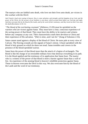The martyrs who are faithful unto death, who love not their lives unto death, are victors in this warfare with the Devil:

And I heard a loud voice saying in heaven, Now is come salvation, and strength, and the kingdom of our God, and the power of his Christ: for the accuser of our brethren is cast down, which accused them before our God day and night. And they overcame him by the blood of the Lamb, and by the word of their testimony; and they loved not their lives unto *the death.*(Revelation 12:10–11)

*"The blood of the everlasting covenant"* (Hebrews 13:20) must be sprinkled on the warriors who are victors against Satan. They must have a clear, conscious experience of the saving power of that blood. They must have the ability to be martyrs and witness before any company at any cost. Their characteristics mark their devotion to Christ and their experience of His salvation. *"*[He] *is mine, and I am his"* (Song of Solomon 2:16).

Satan cannot stand against a display of the blood of Christ. He turns pale at every view of Calvary. The flowing wounds are the signals of Satan's retreat. A heart sprinkled with the blood is holy ground on which he dares not tread. Satan trembles and cowers in the presence of the blood-sprinkled warrior.

Satan fears the power of that blood more than the attack of a legion of archangels. The blood is like the charge of an irresistible military force that destroys everything in its path. It is the blood applied and the testimony of its application that Satan fears. The martyr who is a witness of the power of that blood is more a barrier against Satan than a wall of fire. An experience of the atoning blood is heaven's infallible protection against Satan. Those in heaven overcame the Devil in this way. We also overcome him by the blood of the Lamb and the word of our testimony.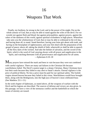### Weapons That Work

Finally, my brethren, be strong in the Lord, and in the power of his might. Put on the whole armour of God, that ye may be able to stand against the wiles of the devil. For we wrestle not against flesh and blood, but against principalities, against powers, against the rulers of the darkness of this world, against spiritual wickedness in high places. Wherefore take unto you the wholearmour of God, that ye may be able to withstand in the evil day, and having done all, to stand. Stand therefore, having your loins girt about with truth, and having on the breastplate of righteousness; and your feet shod with the preparation of the gospel of peace; above all, taking the shield of faith, wherewith ye shall be able to quench all the fiery darts of the wicked. And take the helmet of salvation, and the sword of the Spirit, which is the word of God: praying always with all prayer and supplication in the Spirit, and watching thereunto with all perseverance and supplication for all saints. —Ephesians 6:10–18

 $\mathbf M$ any prayers have missed the mark and been in vain because they were not combined with careful vigilance. There are many sad failures in the Christian life because watchfulness failed. The Devil's easiest target is a sleepy Christian. Many Christians have lost their souls because they failed to stay alert to Satan's attacks. Eternal vigilance is the price of political liberty. No less a price must be paid for our spiritual safety. The foolish virgins missed heaven because they failed in this virtue. Watchfulness would have brought them, along with the Bridegroom, into the high joys of heaven's most celebrated hour. (See Matthew 25:1–13.)

In the sixth chapter of Ephesians, as stated above, all the weapons of warfare with the Devil and his legions are described. The sources of defense and victory are also given. In this passage, we have a view of the strenuous conflict and the battlefield on which the issues of eternity are tossed.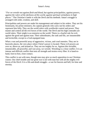#### Satan's Army

*"For we wrestle not against flesh and blood, but against principalities, against powers, against the rulers of the darkness of this world, against spiritual wickedness in high places."* The Christian's battle is with the Devil and his methods. Satan's struggle is arranged with order, wisdom, and skill.

Principalities and powers are under his management and subject to his orders. They are his lieutenants, his prime ministers, his captain generals who carry out his orders and represent him fully. They are the world rulers with worldwide control and power. They master and control all the evil forces of the world. The Devil and his high comrades are world rulers. Their might is as extensive as the world. Theirs is a fearful rule for evil, against the good and against man. Their subordinates, the rank and file, are innumerable and invincible, except to a God-equipped man.

What a vast and powerful array of aggressive, vicious, and cruel enemies. They are in heavenly places, the very place where Christ's power is located. These evil powers are over us, above us, and around us. They are too mighty for us. Against this invisible, innumerable, all-powerful, and vast array, we wrestle. Wrestling is a close conflict. It is an intense and difficult conflict that tests all strength and strains every fiber. It is hand-tohand, foot-to-foot, close contact.

This conflict is not with men, though men may give us much opposition in our Christian course. Our chief trouble and our great war is not with man but with all the mighty evil forces of the Devil. It is a life-and-death struggle—a war for heaven and hell, for time and eternity.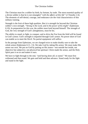The Christian must be a soldier by birth, by fortune, by trade. The most essential quality of a divine soldier is that he is not entangled *"with the affairs of this life"* (2 Timothy 2:4). The elements of self-denial, courage, and endurance are the vital characteristics of this military training.

Strength is the fruit of these high qualities. But it is strength far beyond the Christian soldier's own strength. *"Strong in the Lord, and in the power of his might"* (Ephesians 6:10). In preparation for this war, the soldier must look beyond himself. The strength of God, the very strength of God's almightiness, must be his.

The ability to stand, to fight, to conquer, and to drive the Foe from the field will be found in God's armor. God's strength is imparted through God's armor. No power short of God can enable us to meet the Devil. No partial equipment will suffice.

In the passage from Ephesians, we are charged twice to make doubly sure to take the whole armor (Ephesians 6:11, 13). We take God by taking His armor. We must make His armor our own. We put on God by putting on His armor—not outside but inside, not objective but subjective, not physical but spiritual. Christ made the armor, and the Holy Spirit puts it on us and makes it ours.

We have to fight through to the end, *"and having done all, to stand."* We must first withstand and then stand. We gain and hold and then advance. Stand ready for the fight and stand in the fight.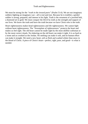We must be strong for the *"truth in the inward parts"* (Psalm 51:6). We are not imaginary soldiers fighting an imaginary war—all is real and true. Because he is truthful, a girded soldier is strong, prepared, and intense in his fight. Truth is the ornament of a jeweled belt, a diamond set in gold. We must conquer the Devil by truth as the strength and support of our lives. We know the truth and have the truth because we have Christ who is the truth.

Heart righteousness makes head righteousness and life righteousness. We cannot fight without heart righteousness. The "breastplate of righteousness" protects the heart and makes us feel right. The old heart cannot be made right by the most skillful craftsman or by the most correct rituals. No tinkering on the old heart can make it right. It is as hard as a stone and as crooked as the Jordan. No melting can make it soft, and no human effort can make it straight. We need a new heart, soft as flesh and washed whiter than snow in the blood of Christ. A piece of Christ's heart—perfect, right, pure, and good—is what is needed.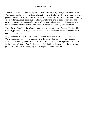The feet must be shod with a preparation that is always ready to go, to do, and to suffer. This means no slow movements or reluctant doing of God's will. Being off guard creates a general unreadiness for life or death, for earth or heaven, for sacrifice or service, for doing or for suffering. It cuts the nerve of Christian valor and lays us open to surprises and crushing defeats. "Always ready" is the soldier's attitude of safety, and being ready to move precedes victory. Wakeful vigilance assures us of victory against the Devil.

The *"shield of faith"* is the all-important and all-covering piece of armor. The Devil lets his fiery, poisoned darts fly, but faith catches them as they are directed at head or heart, and quenches them.

Do you believe all victories are possible to the soldier who is valiant and strong in faith? There has never been a battle planned by hell's most gifted strategist that can conquer faith. All his flaming and terrible darts fall harmless as they strike against the shield of faith. *"These all died in faith"* (Hebrews 11:13). Faith made their death the crowning point. Faith brought to their dying hour the spoils of their victories.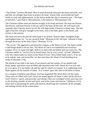*"The helmet"* protects the head. Bear in mind that head-salvation and heart-salvation, real and full, are stronger than brass to protect the head. A heart fully saved holds the head firmly to truth and righteousness, as the anchor holds the ship in stormiest seas. *"The hope of salvation,"* said Paul in Thessalonians, is the helmet (1 Thessalonians 5:8).

The Christian soldier must put heaven strongly in his head and heart. He must see heaven, feel heaven, and keep heaven in the eye and in the heart all the time. He will stand with unsteady step if heaven seems far off. He will fight feebly if heaven is dimly seen. The full sight of heaven will give strength to his loins, zeal to his faith, glory to his future, and victory to the present.

The head will never be pierced while hope is its helmet. Nurture hope, strengthen hope, and brighten hope, for *"we are saved by hope"* (Romans 8:24). We must *"abound in hope, through the power of the Holy Ghost"* (Romans 15:13).

*"The sword,"* the aggressive and powerful weapon, is the Word of God. The Spirit wields it and brings death to all our foes. The Word of God is our battlefield and victorious weapon. On it we stand and fight. With it we deal with and defeat and ruin every foe. The Christian soldier is *"not* [to] *live by bread alone, but by every word…of God"* (Matthew 4:4). We cannot make too much of the Word of God. Christ foiled Satan with it. If we are to be valiant, true, and invincible, we also must have the Word of God dwelling in us richly (Colossians 3:16).

The shield of our faith is the basis of our prayers and the essence of our girded truth. Head, hands, and hearts must be filled and saturated with God's Word; by it we live and by it we grow. It is our battle call and the sign by which we conquer. It is a glittering royal blade against all the assaults of Satan. "It is written" goes like steel to the heart of Satan.

As a weapon of defense and offense, God has magnified His Word above all His name. Those who are filled with God's Word are armed against all Satan's wiles and his devices. God's Word is *"quick, and powerful, and sharper than any twoedged sword, piercing even to the dividing asunder of soul and spirit, and of the joints and marrow"* (Hebrews 4:12). Satan feels it penetrating his joints and marrow, dissolving into weakness all his strength, and making foolish all his wisest plans.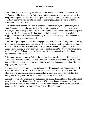The soldiers in the warfare against the Devil must understand how to wear the armor of *"all prayer."* The demand is for *"all prayer"* at all seasons, in the intensest form, with a deep sense of personal need for God. Prayer must deepen and intensify into supplication. The Holy Spirit will help us into this kind of mighty praying and clothe us with this irresistible power of prayer.

This intense conflict with the Devil requires sleepless vigilance, midnight vigils, and a wakefulness that cannot be surprised. It also requires a perseverance that knows neither halting, fainting, nor depression. This kind of praying knows by clear spiritual intelligence what it needs. The prayer warrior knows the unlimited provisions that are available to supply all his needs. He knows the necessity of perseverance in prayer until the need is supplied and the provision is secured.

This kind of praying holds itself in loving sympathy with the entire family of God, making their conflicts, dangers, and needs its own. It is on the line of battle with the whole family of God. It takes on their enemies, their safety, and their dangers. *"Supplication for all saints"* gives victory to every saint. The line of battle is one. Defeat or victory must come to all. The soldier fully equipped in God's armor is a veteran against the Devil and invincible to all of his attacks.

It is not an easy thing to pray. Behind the praying there must lie the conditions of prayer. These conditions are possible, but they cannot be achieved in a moment by the prayerless person. They are always available to the faithful and holy, but cannot exist in a frivolous, negligent, and lazy spirit.

Prayer does not stand alone. It is not an isolated performance. Prayer is connected to all the duties of the Christian life. Prayer issues from a character that is made up of the elements of a vigorous and commanding faith. Prayer honors God, acknowledges His being, exalts His power, adores His providence, and secures His aid.

A skeptic would rationalize and cry out against devotion, charging that it does nothing but pray. But to pray well is to do all things well. If it is true that devotion does nothing but pray, then it really does do nothing at all, for the conditions of prayer are the sum of *all* the energized forces and all the duties of practical working Christianity.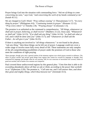Prayer brings God into the situation with commanding force. "*Ask me of things to come concerning my sons,"* says God, *"and concerning the work of my hands command ye me"* (Isaiah 45:11).

We are charged in God's Word: *"Pray without ceasing"* (1 Thessalonians 5:17). *"In every thing by prayer"* (Philippians 4:6). *"Continuing instant in prayer"* (Romans 12:12). *"Pray every where"* (1 Timothy 2:8). *"Praying always"* (Colossians 1:3).

The promise is as unlimited as the command is comprehensive. *"All things, whatsoever ye shall ask in prayer, believing, ye shall receive"* (Matthew 21:22). Jesus said, *"Whatsoever ye shall ask"* (John 14:13); *"if ye shall ask any thing"* (John 14:14); *"ye shall ask what ye will, and it shall be done unto you"* (John 15:7); and *"whatsoever ye shall ask the Father…he will give it you"* (John 16:23).

If there is anything not involved in *"all things whatsoever,"* or not found in the phrase, *"ask any thing,"* then these things can be left out of prayer. Language could not cover a wider range or involve more fully every detail of life. These statements are only samples of the all-comprehending possibilities of prayer under the promises of God to those who meet the conditions of right praying.

These passages, though, give only a general outline of the immense regions over which prayer extends its influence. The effect of prayer reaches and secures good things from regions that cannot be covered by language or thought. Paul exhausted his language and thought when he was praying. Still, he was conscious of necessities not covered, realms of good not reached, and of battles over enemies not conquered.

Paul covered these undiscovered regions by this general plea: *"Unto him that is able to do exceeding abundantly above all that we ask or think, according to the power that worketh in us"* (Ephesians 3:20). The promise is, *"Call unto me, and I will answer thee, and show thee great and mighty things, which thou knowest not"* (Jeremiah 33:3).